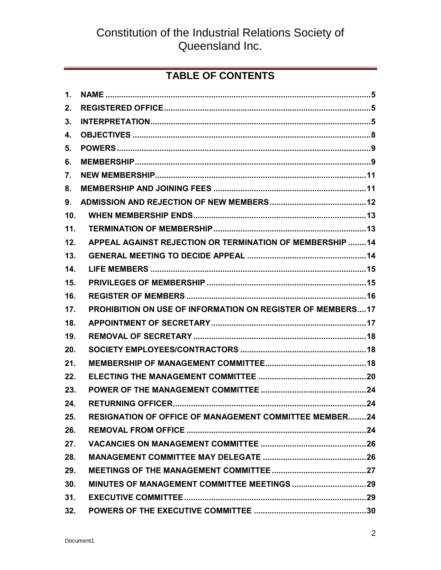# **TABLE OF CONTENTS**

| $\mathbf{1}$ .  |                                                                   |  |
|-----------------|-------------------------------------------------------------------|--|
| 2.              |                                                                   |  |
| 3.              |                                                                   |  |
| 4.              |                                                                   |  |
| 5.              |                                                                   |  |
| 6.              |                                                                   |  |
| 7.              |                                                                   |  |
| 8.              |                                                                   |  |
| 9.              |                                                                   |  |
| 10 <sub>1</sub> |                                                                   |  |
| 11.             |                                                                   |  |
| 12.             | <b>APPEAL AGAINST REJECTION OR TERMINATION OF MEMBERSHIP 14</b>   |  |
| 13.             |                                                                   |  |
| 14.             |                                                                   |  |
| 15.             |                                                                   |  |
| 16.             |                                                                   |  |
| 17.             | <b>PROHIBITION ON USE OF INFORMATION ON REGISTER OF MEMBERS17</b> |  |
| 18.             |                                                                   |  |
| 19.             |                                                                   |  |
| 20.             |                                                                   |  |
| 21.             |                                                                   |  |
| 22.             |                                                                   |  |
| 23.             |                                                                   |  |
| 24.             |                                                                   |  |
| 25.             | <b>RESIGNATION OF OFFICE OF MANAGEMENT COMMITTEE MEMBER24</b>     |  |
| 26.             |                                                                   |  |
| 27.             |                                                                   |  |
| 28.             |                                                                   |  |
|                 |                                                                   |  |
| 29.             |                                                                   |  |
| 30.             |                                                                   |  |
| 31.             |                                                                   |  |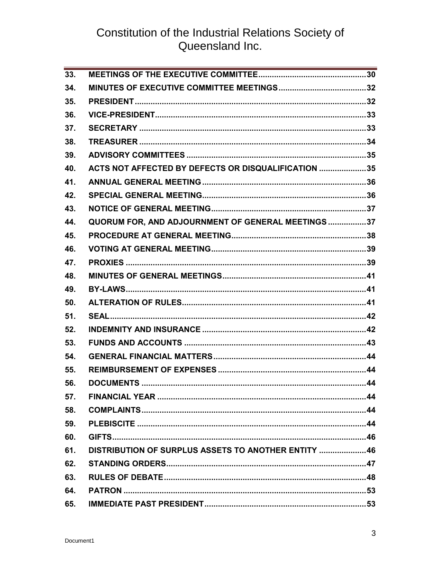| $\overline{33}$ . |                                                      |  |
|-------------------|------------------------------------------------------|--|
| 34.               |                                                      |  |
| 35.               |                                                      |  |
| 36.               |                                                      |  |
| 37.               |                                                      |  |
| 38.               |                                                      |  |
| 39.               |                                                      |  |
| 40.               | ACTS NOT AFFECTED BY DEFECTS OR DISQUALIFICATION 35  |  |
| 41.               |                                                      |  |
| 42.               |                                                      |  |
| 43.               |                                                      |  |
| 44.               | QUORUM FOR, AND ADJOURNMENT OF GENERAL MEETINGS 37   |  |
| 45.               |                                                      |  |
| 46.               |                                                      |  |
| 47.               |                                                      |  |
| 48.               |                                                      |  |
| 49.               |                                                      |  |
| 50.               |                                                      |  |
| 51.               |                                                      |  |
| 52.               |                                                      |  |
| 53.               |                                                      |  |
| 54.               |                                                      |  |
| 55.               |                                                      |  |
| 56.               |                                                      |  |
| 57.               |                                                      |  |
| 58.               |                                                      |  |
| 59.               |                                                      |  |
| 60.               |                                                      |  |
| 61.               | DISTRIBUTION OF SURPLUS ASSETS TO ANOTHER ENTITY  46 |  |
| 62.               |                                                      |  |
| 63.               |                                                      |  |
| 64.               |                                                      |  |
| 65.               |                                                      |  |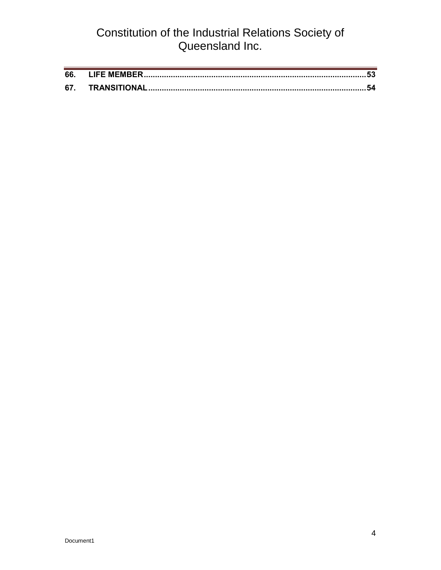| 66 |  |
|----|--|
| 67 |  |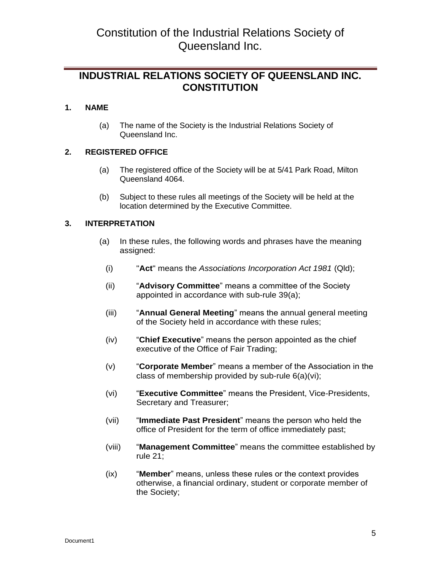### **INDUSTRIAL RELATIONS SOCIETY OF QUEENSLAND INC. CONSTITUTION**

### <span id="page-4-0"></span>**1. NAME**

(a) The name of the Society is the Industrial Relations Society of Queensland Inc.

### <span id="page-4-1"></span>**2. REGISTERED OFFICE**

- (a) The registered office of the Society will be at 5/41 Park Road, Milton Queensland 4064.
- (b) Subject to these rules all meetings of the Society will be held at the location determined by the Executive Committee.

### <span id="page-4-2"></span>**3. INTERPRETATION**

- (a) In these rules, the following words and phrases have the meaning assigned:
	- (i) "**Act**" means the *Associations Incorporation Act 1981* (Qld);
	- (ii) "**Advisory Committee**" means a committee of the Society appointed in accordance with sub-rule 39(a);
	- (iii) "**Annual General Meeting**" means the annual general meeting of the Society held in accordance with these rules;
	- (iv) "**Chief Executive**" means the person appointed as the chief executive of the Office of Fair Trading;
	- (v) "**Corporate Member**" means a member of the Association in the class of membership provided by sub-rule 6(a)(vi);
	- (vi) "**Executive Committee**" means the President, Vice-Presidents, Secretary and Treasurer;
	- (vii) "**Immediate Past President**" means the person who held the office of President for the term of office immediately past;
	- (viii) "**Management Committee**" means the committee established by rule 21;
	- (ix) "**Member**" means, unless these rules or the context provides otherwise, a financial ordinary, student or corporate member of the Society;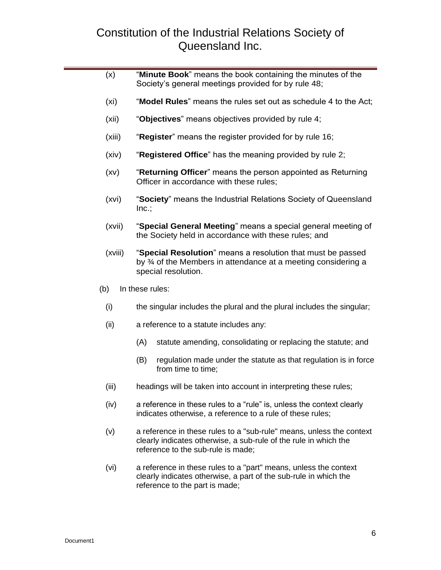| (x)     | "Minute Book" means the book containing the minutes of the<br>Society's general meetings provided for by rule 48;                                                              |  |  |  |  |
|---------|--------------------------------------------------------------------------------------------------------------------------------------------------------------------------------|--|--|--|--|
| (xi)    | "Model Rules" means the rules set out as schedule 4 to the Act;                                                                                                                |  |  |  |  |
| (xii)   | "Objectives" means objectives provided by rule 4;                                                                                                                              |  |  |  |  |
| (xiii)  | "Register" means the register provided for by rule 16;                                                                                                                         |  |  |  |  |
| (xiv)   | "Registered Office" has the meaning provided by rule 2;                                                                                                                        |  |  |  |  |
| (xv)    | "Returning Officer" means the person appointed as Returning<br>Officer in accordance with these rules;                                                                         |  |  |  |  |
| (xvi)   | "Society" means the Industrial Relations Society of Queensland<br>Inc.;                                                                                                        |  |  |  |  |
| (xvii)  | "Special General Meeting" means a special general meeting of<br>the Society held in accordance with these rules; and                                                           |  |  |  |  |
| (xviii) | "Special Resolution" means a resolution that must be passed<br>by 3⁄4 of the Members in attendance at a meeting considering a<br>special resolution.                           |  |  |  |  |
| (b)     | In these rules:                                                                                                                                                                |  |  |  |  |
| (i)     | the singular includes the plural and the plural includes the singular;                                                                                                         |  |  |  |  |
| (ii)    | a reference to a statute includes any:                                                                                                                                         |  |  |  |  |
|         | (A)<br>statute amending, consolidating or replacing the statute; and                                                                                                           |  |  |  |  |
|         | (B)<br>regulation made under the statute as that regulation is in force<br>from time to time;                                                                                  |  |  |  |  |
| (iii)   | headings will be taken into account in interpreting these rules;                                                                                                               |  |  |  |  |
| (iv)    | a reference in these rules to a "rule" is, unless the context clearly<br>indicates otherwise, a reference to a rule of these rules;                                            |  |  |  |  |
| (v)     | a reference in these rules to a "sub-rule" means, unless the context<br>clearly indicates otherwise, a sub-rule of the rule in which the<br>reference to the sub-rule is made; |  |  |  |  |
| (vi)    | a reference in these rules to a "part" means, unless the context<br>clearly indicates otherwise, a part of the sub-rule in which the<br>reference to the part is made;         |  |  |  |  |

г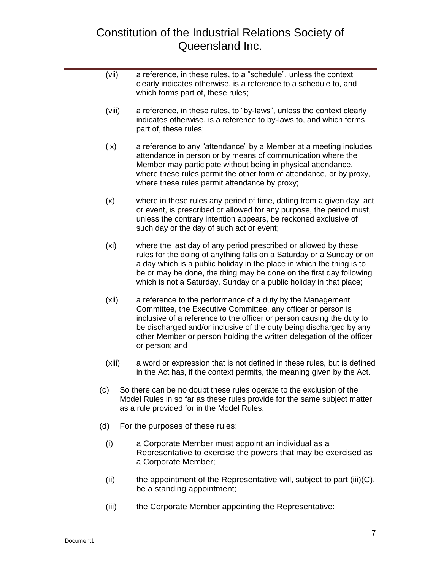- (vii) a reference, in these rules, to a "schedule", unless the context clearly indicates otherwise, is a reference to a schedule to, and which forms part of, these rules; (viii) a reference, in these rules, to "by-laws", unless the context clearly indicates otherwise, is a reference to by-laws to, and which forms part of, these rules; (ix) a reference to any "attendance" by a Member at a meeting includes attendance in person or by means of communication where the Member may participate without being in physical attendance, where these rules permit the other form of attendance, or by proxy, where these rules permit attendance by proxy; (x) where in these rules any period of time, dating from a given day, act or event, is prescribed or allowed for any purpose, the period must, unless the contrary intention appears, be reckoned exclusive of such day or the day of such act or event; (xi) where the last day of any period prescribed or allowed by these rules for the doing of anything falls on a Saturday or a Sunday or on a day which is a public holiday in the place in which the thing is to be or may be done, the thing may be done on the first day following which is not a Saturday, Sunday or a public holiday in that place; (xii) a reference to the performance of a duty by the Management Committee, the Executive Committee, any officer or person is inclusive of a reference to the officer or person causing the duty to be discharged and/or inclusive of the duty being discharged by any other Member or person holding the written delegation of the officer or person; and (xiii) a word or expression that is not defined in these rules, but is defined in the Act has, if the context permits, the meaning given by the Act. (c) So there can be no doubt these rules operate to the exclusion of the Model Rules in so far as these rules provide for the same subject matter as a rule provided for in the Model Rules. (d) For the purposes of these rules: (i) a Corporate Member must appoint an individual as a Representative to exercise the powers that may be exercised as a Corporate Member; (ii) the appointment of the Representative will, subject to part (iii)( $C$ ), be a standing appointment;
	- (iii) the Corporate Member appointing the Representative: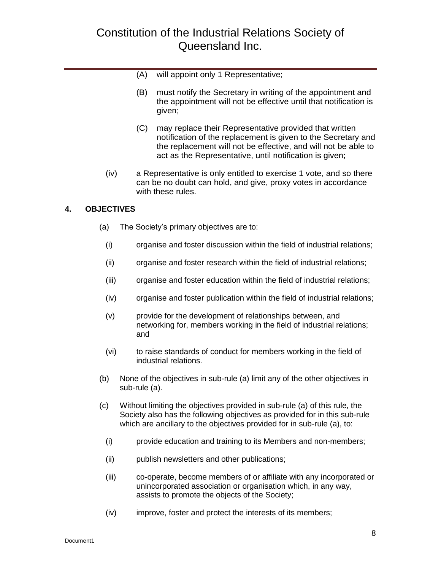- (A) will appoint only 1 Representative;
- (B) must notify the Secretary in writing of the appointment and the appointment will not be effective until that notification is given;
- (C) may replace their Representative provided that written notification of the replacement is given to the Secretary and the replacement will not be effective, and will not be able to act as the Representative, until notification is given;
- (iv) a Representative is only entitled to exercise 1 vote, and so there can be no doubt can hold, and give, proxy votes in accordance with these rules.

### <span id="page-7-0"></span>**4. OBJECTIVES**

- (a) The Society's primary objectives are to:
- (i) organise and foster discussion within the field of industrial relations;
- (ii) organise and foster research within the field of industrial relations;
- (iii) organise and foster education within the field of industrial relations;
- (iv) organise and foster publication within the field of industrial relations;
- (v) provide for the development of relationships between, and networking for, members working in the field of industrial relations; and
- (vi) to raise standards of conduct for members working in the field of industrial relations.
- (b) None of the objectives in sub-rule (a) limit any of the other objectives in sub-rule (a).
- (c) Without limiting the objectives provided in sub-rule (a) of this rule, the Society also has the following objectives as provided for in this sub-rule which are ancillary to the objectives provided for in sub-rule (a), to:
	- (i) provide education and training to its Members and non-members;
	- (ii) publish newsletters and other publications;
	- (iii) co-operate, become members of or affiliate with any incorporated or unincorporated association or organisation which, in any way, assists to promote the objects of the Society;
	- (iv) improve, foster and protect the interests of its members;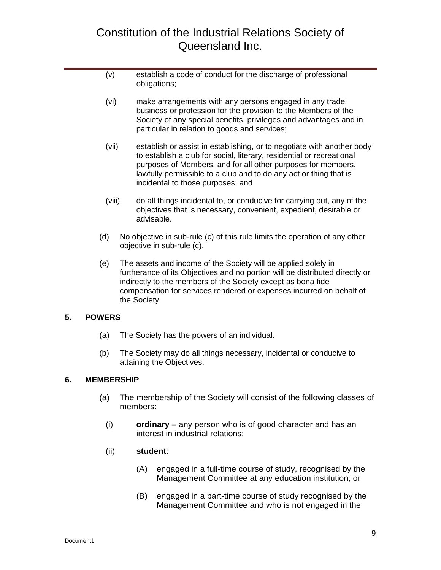- (v) establish a code of conduct for the discharge of professional obligations;
- (vi) make arrangements with any persons engaged in any trade, business or profession for the provision to the Members of the Society of any special benefits, privileges and advantages and in particular in relation to goods and services;
- (vii) establish or assist in establishing, or to negotiate with another body to establish a club for social, literary, residential or recreational purposes of Members, and for all other purposes for members, lawfully permissible to a club and to do any act or thing that is incidental to those purposes; and
- (viii) do all things incidental to, or conducive for carrying out, any of the objectives that is necessary, convenient, expedient, desirable or advisable.
- (d) No objective in sub-rule (c) of this rule limits the operation of any other objective in sub-rule (c).
- (e) The assets and income of the Society will be applied solely in furtherance of its Objectives and no portion will be distributed directly or indirectly to the members of the Society except as bona fide compensation for services rendered or expenses incurred on behalf of the Society.

### <span id="page-8-0"></span>**5. POWERS**

- (a) The Society has the powers of an individual.
- (b) The Society may do all things necessary, incidental or conducive to attaining the Objectives.

### <span id="page-8-1"></span>**6. MEMBERSHIP**

- (a) The membership of the Society will consist of the following classes of members:
	- (i) **ordinary** any person who is of good character and has an interest in industrial relations;

### (ii) **student**:

- (A) engaged in a full-time course of study, recognised by the Management Committee at any education institution; or
- (B) engaged in a part-time course of study recognised by the Management Committee and who is not engaged in the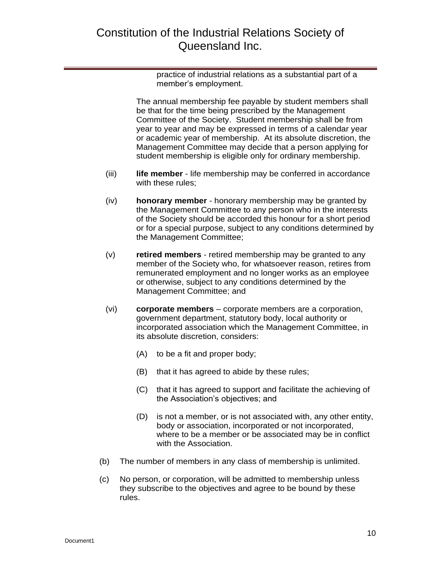practice of industrial relations as a substantial part of a member's employment.

The annual membership fee payable by student members shall be that for the time being prescribed by the Management Committee of the Society. Student membership shall be from year to year and may be expressed in terms of a calendar year or academic year of membership. At its absolute discretion, the Management Committee may decide that a person applying for student membership is eligible only for ordinary membership.

- (iii) **life member** life membership may be conferred in accordance with these rules;
- (iv) **honorary member** honorary membership may be granted by the Management Committee to any person who in the interests of the Society should be accorded this honour for a short period or for a special purpose, subject to any conditions determined by the Management Committee;
- (v) **retired members** retired membership may be granted to any member of the Society who, for whatsoever reason, retires from remunerated employment and no longer works as an employee or otherwise, subject to any conditions determined by the Management Committee; and
- (vi) **corporate members** corporate members are a corporation, government department, statutory body, local authority or incorporated association which the Management Committee, in its absolute discretion, considers:
	- (A) to be a fit and proper body;
	- (B) that it has agreed to abide by these rules;
	- (C) that it has agreed to support and facilitate the achieving of the Association's objectives; and
	- (D) is not a member, or is not associated with, any other entity, body or association, incorporated or not incorporated, where to be a member or be associated may be in conflict with the Association.
- (b) The number of members in any class of membership is unlimited.
- (c) No person, or corporation, will be admitted to membership unless they subscribe to the objectives and agree to be bound by these rules.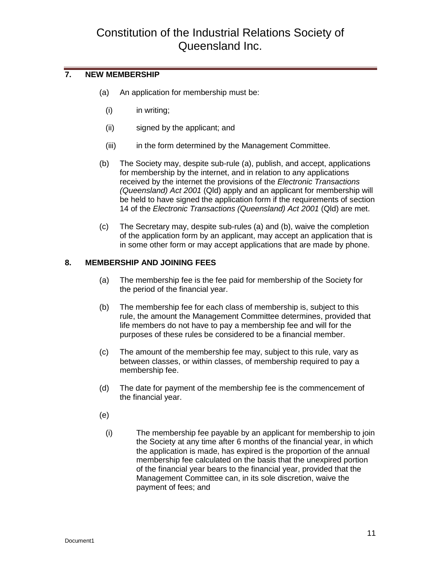### <span id="page-10-0"></span>**7. NEW MEMBERSHIP**

- (a) An application for membership must be:
	- (i) in writing;
	- (ii) signed by the applicant; and
	- (iii) in the form determined by the Management Committee.
- (b) The Society may, despite sub-rule (a), publish, and accept, applications for membership by the internet, and in relation to any applications received by the internet the provisions of the *Electronic Transactions (Queensland) Act 2001* (Qld) apply and an applicant for membership will be held to have signed the application form if the requirements of section 14 of the *Electronic Transactions (Queensland) Act 2001* (Qld) are met.
- (c) The Secretary may, despite sub-rules (a) and (b), waive the completion of the application form by an applicant, may accept an application that is in some other form or may accept applications that are made by phone.

### <span id="page-10-1"></span>**8. MEMBERSHIP AND JOINING FEES**

- (a) The membership fee is the fee paid for membership of the Society for the period of the financial year.
- (b) The membership fee for each class of membership is, subject to this rule, the amount the Management Committee determines, provided that life members do not have to pay a membership fee and will for the purposes of these rules be considered to be a financial member.
- (c) The amount of the membership fee may, subject to this rule, vary as between classes, or within classes, of membership required to pay a membership fee.
- (d) The date for payment of the membership fee is the commencement of the financial year.
- (e)
	- (i) The membership fee payable by an applicant for membership to join the Society at any time after 6 months of the financial year, in which the application is made, has expired is the proportion of the annual membership fee calculated on the basis that the unexpired portion of the financial year bears to the financial year, provided that the Management Committee can, in its sole discretion, waive the payment of fees; and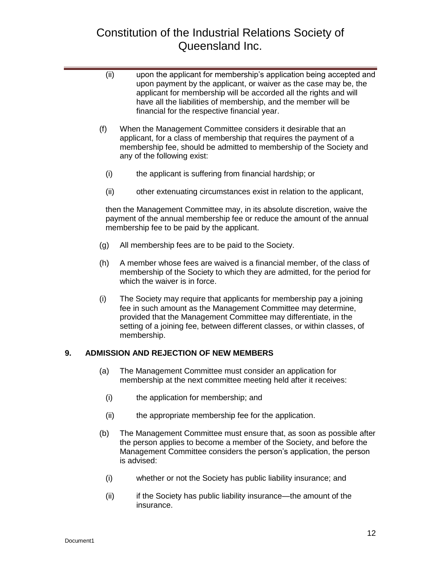- (ii) upon the applicant for membership's application being accepted and upon payment by the applicant, or waiver as the case may be, the applicant for membership will be accorded all the rights and will have all the liabilities of membership, and the member will be financial for the respective financial year.
- (f) When the Management Committee considers it desirable that an applicant, for a class of membership that requires the payment of a membership fee, should be admitted to membership of the Society and any of the following exist:
	- (i) the applicant is suffering from financial hardship; or
	- (ii) other extenuating circumstances exist in relation to the applicant,

then the Management Committee may, in its absolute discretion, waive the payment of the annual membership fee or reduce the amount of the annual membership fee to be paid by the applicant.

- (g) All membership fees are to be paid to the Society.
- (h) A member whose fees are waived is a financial member, of the class of membership of the Society to which they are admitted, for the period for which the waiver is in force.
- (i) The Society may require that applicants for membership pay a joining fee in such amount as the Management Committee may determine, provided that the Management Committee may differentiate, in the setting of a joining fee, between different classes, or within classes, of membership.

### <span id="page-11-0"></span>**9. ADMISSION AND REJECTION OF NEW MEMBERS**

- (a) The Management Committee must consider an application for membership at the next committee meeting held after it receives:
	- (i) the application for membership; and
	- (ii) the appropriate membership fee for the application.
- (b) The Management Committee must ensure that, as soon as possible after the person applies to become a member of the Society, and before the Management Committee considers the person's application, the person is advised:
	- (i) whether or not the Society has public liability insurance; and
	- (ii) if the Society has public liability insurance—the amount of the insurance.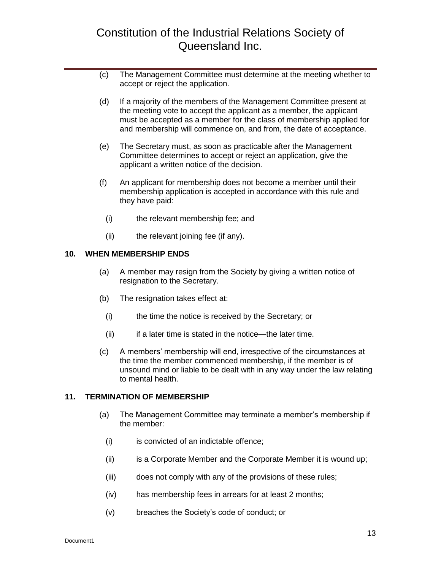- (c) The Management Committee must determine at the meeting whether to accept or reject the application.
- (d) If a majority of the members of the Management Committee present at the meeting vote to accept the applicant as a member, the applicant must be accepted as a member for the class of membership applied for and membership will commence on, and from, the date of acceptance.
- (e) The Secretary must, as soon as practicable after the Management Committee determines to accept or reject an application, give the applicant a written notice of the decision.
- (f) An applicant for membership does not become a member until their membership application is accepted in accordance with this rule and they have paid:
	- (i) the relevant membership fee; and
	- (ii) the relevant joining fee (if any).

#### <span id="page-12-0"></span>**10. WHEN MEMBERSHIP ENDS**

- (a) A member may resign from the Society by giving a written notice of resignation to the Secretary.
- (b) The resignation takes effect at:
	- (i) the time the notice is received by the Secretary; or
	- (ii) if a later time is stated in the notice—the later time.
- (c) A members' membership will end, irrespective of the circumstances at the time the member commenced membership, if the member is of unsound mind or liable to be dealt with in any way under the law relating to mental health.

#### <span id="page-12-1"></span>**11. TERMINATION OF MEMBERSHIP**

- (a) The Management Committee may terminate a member's membership if the member:
	- (i) is convicted of an indictable offence;
	- (ii) is a Corporate Member and the Corporate Member it is wound up;
	- (iii) does not comply with any of the provisions of these rules;
	- (iv) has membership fees in arrears for at least 2 months;
	- (v) breaches the Society's code of conduct; or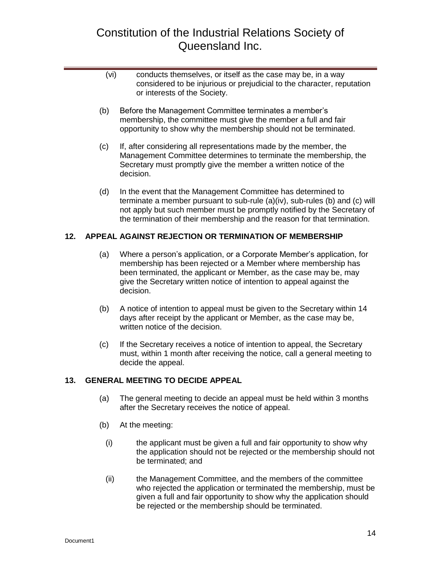- (vi) conducts themselves, or itself as the case may be, in a way considered to be injurious or prejudicial to the character, reputation or interests of the Society.
- (b) Before the Management Committee terminates a member's membership, the committee must give the member a full and fair opportunity to show why the membership should not be terminated.
- (c) If, after considering all representations made by the member, the Management Committee determines to terminate the membership, the Secretary must promptly give the member a written notice of the decision.
- (d) In the event that the Management Committee has determined to terminate a member pursuant to sub-rule (a)(iv), sub-rules (b) and (c) will not apply but such member must be promptly notified by the Secretary of the termination of their membership and the reason for that termination.

### <span id="page-13-0"></span>**12. APPEAL AGAINST REJECTION OR TERMINATION OF MEMBERSHIP**

- (a) Where a person's application, or a Corporate Member's application, for membership has been rejected or a Member where membership has been terminated, the applicant or Member, as the case may be, may give the Secretary written notice of intention to appeal against the decision.
- (b) A notice of intention to appeal must be given to the Secretary within 14 days after receipt by the applicant or Member, as the case may be, written notice of the decision.
- (c) If the Secretary receives a notice of intention to appeal, the Secretary must, within 1 month after receiving the notice, call a general meeting to decide the appeal.

### <span id="page-13-1"></span>**13. GENERAL MEETING TO DECIDE APPEAL**

- (a) The general meeting to decide an appeal must be held within 3 months after the Secretary receives the notice of appeal.
- (b) At the meeting:
	- (i) the applicant must be given a full and fair opportunity to show why the application should not be rejected or the membership should not be terminated; and
	- (ii) the Management Committee, and the members of the committee who rejected the application or terminated the membership, must be given a full and fair opportunity to show why the application should be rejected or the membership should be terminated.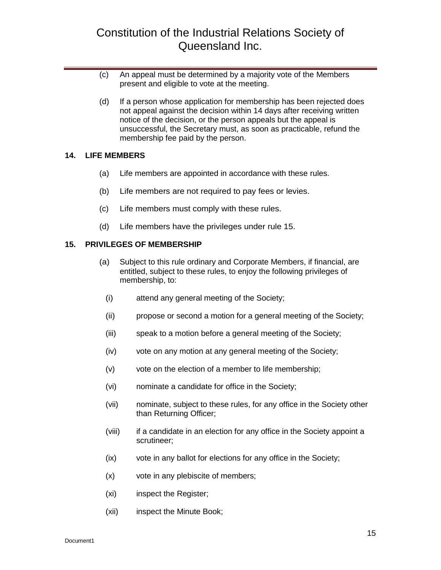- (c) An appeal must be determined by a majority vote of the Members present and eligible to vote at the meeting.
- (d) If a person whose application for membership has been rejected does not appeal against the decision within 14 days after receiving written notice of the decision, or the person appeals but the appeal is unsuccessful, the Secretary must, as soon as practicable, refund the membership fee paid by the person.

#### <span id="page-14-0"></span>**14. LIFE MEMBERS**

- (a) Life members are appointed in accordance with these rules.
- (b) Life members are not required to pay fees or levies.
- (c) Life members must comply with these rules.
- (d) Life members have the privileges under rule 15.

#### <span id="page-14-1"></span>**15. PRIVILEGES OF MEMBERSHIP**

- (a) Subject to this rule ordinary and Corporate Members, if financial, are entitled, subject to these rules, to enjoy the following privileges of membership, to:
	- (i) attend any general meeting of the Society;
	- (ii) propose or second a motion for a general meeting of the Society;
	- (iii) speak to a motion before a general meeting of the Society;
	- (iv) vote on any motion at any general meeting of the Society;
	- (v) vote on the election of a member to life membership;
	- (vi) nominate a candidate for office in the Society;
	- (vii) nominate, subject to these rules, for any office in the Society other than Returning Officer;
	- (viii) if a candidate in an election for any office in the Society appoint a scrutineer;
	- (ix) vote in any ballot for elections for any office in the Society;
	- (x) vote in any plebiscite of members;
	- (xi) inspect the Register;
	- (xii) inspect the Minute Book;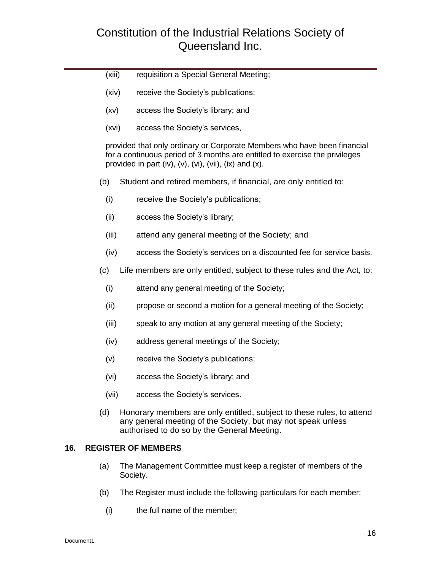- (xiii) requisition a Special General Meeting;
- (xiv) receive the Society's publications;
- (xv) access the Society's library; and
- (xvi) access the Society's services,

provided that only ordinary or Corporate Members who have been financial for a continuous period of 3 months are entitled to exercise the privileges provided in part (iv),  $(v)$ ,  $(vi)$ ,  $(vii)$ ,  $(ix)$  and  $(x)$ .

- (b) Student and retired members, if financial, are only entitled to:
	- (i) receive the Society's publications;
	- (ii) access the Society's library;
	- (iii) attend any general meeting of the Society; and
	- (iv) access the Society's services on a discounted fee for service basis.
- (c) Life members are only entitled, subject to these rules and the Act, to:
	- (i) attend any general meeting of the Society;
	- (ii) propose or second a motion for a general meeting of the Society;
	- (iii) speak to any motion at any general meeting of the Society;
	- (iv) address general meetings of the Society;
	- (v) receive the Society's publications;
	- (vi) access the Society's library; and
	- (vii) access the Society's services.
- (d) Honorary members are only entitled, subject to these rules, to attend any general meeting of the Society, but may not speak unless authorised to do so by the General Meeting.

#### <span id="page-15-0"></span>**16. REGISTER OF MEMBERS**

- (a) The Management Committee must keep a register of members of the Society.
- (b) The Register must include the following particulars for each member:
	- (i) the full name of the member;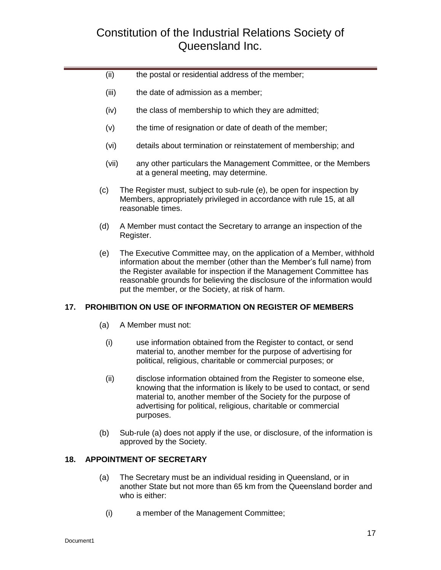- (ii) the postal or residential address of the member;
- (iii) the date of admission as a member;
- (iv) the class of membership to which they are admitted;
- (v) the time of resignation or date of death of the member;
- (vi) details about termination or reinstatement of membership; and
- (vii) any other particulars the Management Committee, or the Members at a general meeting, may determine.
- (c) The Register must, subject to sub-rule (e), be open for inspection by Members, appropriately privileged in accordance with rule 15, at all reasonable times.
- (d) A Member must contact the Secretary to arrange an inspection of the Register.
- (e) The Executive Committee may, on the application of a Member, withhold information about the member (other than the Member's full name) from the Register available for inspection if the Management Committee has reasonable grounds for believing the disclosure of the information would put the member, or the Society, at risk of harm.

### <span id="page-16-0"></span>**17. PROHIBITION ON USE OF INFORMATION ON REGISTER OF MEMBERS**

- (a) A Member must not:
	- (i) use information obtained from the Register to contact, or send material to, another member for the purpose of advertising for political, religious, charitable or commercial purposes; or
	- (ii) disclose information obtained from the Register to someone else, knowing that the information is likely to be used to contact, or send material to, another member of the Society for the purpose of advertising for political, religious, charitable or commercial purposes.
- (b) Sub-rule (a) does not apply if the use, or disclosure, of the information is approved by the Society.

### <span id="page-16-1"></span>**18. APPOINTMENT OF SECRETARY**

- (a) The Secretary must be an individual residing in Queensland, or in another State but not more than 65 km from the Queensland border and who is either:
	- (i) a member of the Management Committee;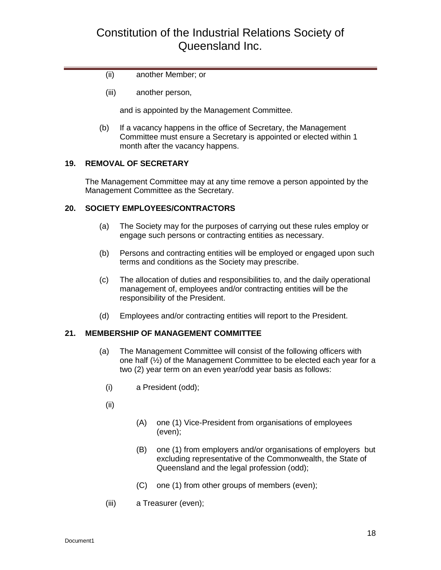- (ii) another Member; or
- (iii) another person,

and is appointed by the Management Committee.

(b) If a vacancy happens in the office of Secretary, the Management Committee must ensure a Secretary is appointed or elected within 1 month after the vacancy happens.

### <span id="page-17-0"></span>**19. REMOVAL OF SECRETARY**

The Management Committee may at any time remove a person appointed by the Management Committee as the Secretary.

### <span id="page-17-1"></span>**20. SOCIETY EMPLOYEES/CONTRACTORS**

- (a) The Society may for the purposes of carrying out these rules employ or engage such persons or contracting entities as necessary.
- (b) Persons and contracting entities will be employed or engaged upon such terms and conditions as the Society may prescribe.
- (c) The allocation of duties and responsibilities to, and the daily operational management of, employees and/or contracting entities will be the responsibility of the President.
- (d) Employees and/or contracting entities will report to the President.

### <span id="page-17-2"></span>**21. MEMBERSHIP OF MANAGEMENT COMMITTEE**

- (a) The Management Committee will consist of the following officers with one half (½) of the Management Committee to be elected each year for a two (2) year term on an even year/odd year basis as follows:
	- (i) a President (odd);
	- (ii)
- (A) one (1) Vice-President from organisations of employees (even);
- (B) one (1) from employers and/or organisations of employers but excluding representative of the Commonwealth, the State of Queensland and the legal profession (odd);
- (C) one (1) from other groups of members (even);
- (iii) a Treasurer (even);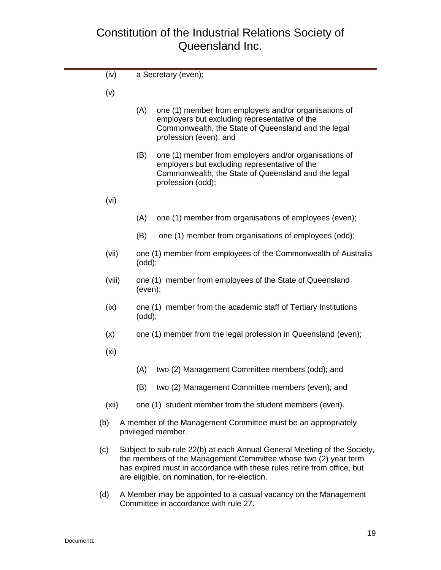| (iv)              |     | a Secretary (even);                                                                                                                                                                                                                                                     |
|-------------------|-----|-------------------------------------------------------------------------------------------------------------------------------------------------------------------------------------------------------------------------------------------------------------------------|
| (v)               |     |                                                                                                                                                                                                                                                                         |
|                   | (A) | one (1) member from employers and/or organisations of<br>employers but excluding representative of the<br>Commonwealth, the State of Queensland and the legal<br>profession (even); and                                                                                 |
|                   | (B) | one (1) member from employers and/or organisations of<br>employers but excluding representative of the<br>Commonwealth, the State of Queensland and the legal<br>profession (odd);                                                                                      |
| (vi)              |     |                                                                                                                                                                                                                                                                         |
|                   | (A) | one (1) member from organisations of employees (even);                                                                                                                                                                                                                  |
|                   | (B) | one (1) member from organisations of employees (odd);                                                                                                                                                                                                                   |
| (vii)             |     | one (1) member from employees of the Commonwealth of Australia<br>(odd);                                                                                                                                                                                                |
| (viii)            |     | one (1) member from employees of the State of Queensland<br>(even);                                                                                                                                                                                                     |
| (ix)              |     | one (1) member from the academic staff of Tertiary Institutions<br>(odd);                                                                                                                                                                                               |
| (x)               |     | one (1) member from the legal profession in Queensland (even);                                                                                                                                                                                                          |
| (x <sub>i</sub> ) |     |                                                                                                                                                                                                                                                                         |
|                   | (A) | two (2) Management Committee members (odd); and                                                                                                                                                                                                                         |
|                   | (B) | two (2) Management Committee members (even); and                                                                                                                                                                                                                        |
| (xii)             |     | one (1) student member from the student members (even).                                                                                                                                                                                                                 |
| (b)               |     | A member of the Management Committee must be an appropriately<br>privileged member.                                                                                                                                                                                     |
| (c)               |     | Subject to sub-rule 22(b) at each Annual General Meeting of the Society,<br>the members of the Management Committee whose two (2) year term<br>has expired must in accordance with these rules retire from office, but<br>are eligible, on nomination, for re-election. |

(d) A Member may be appointed to a casual vacancy on the Management Committee in accordance with rule 27.

π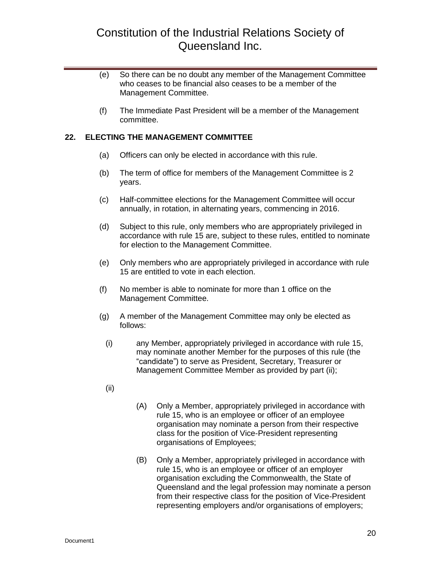- (e) So there can be no doubt any member of the Management Committee who ceases to be financial also ceases to be a member of the Management Committee.
- (f) The Immediate Past President will be a member of the Management committee.

### <span id="page-19-0"></span>**22. ELECTING THE MANAGEMENT COMMITTEE**

- (a) Officers can only be elected in accordance with this rule.
- (b) The term of office for members of the Management Committee is 2 years.
- (c) Half-committee elections for the Management Committee will occur annually, in rotation, in alternating years, commencing in 2016.
- (d) Subject to this rule, only members who are appropriately privileged in accordance with rule 15 are, subject to these rules, entitled to nominate for election to the Management Committee.
- (e) Only members who are appropriately privileged in accordance with rule 15 are entitled to vote in each election.
- (f) No member is able to nominate for more than 1 office on the Management Committee.
- (g) A member of the Management Committee may only be elected as follows:
	- (i) any Member, appropriately privileged in accordance with rule 15, may nominate another Member for the purposes of this rule (the "candidate") to serve as President, Secretary, Treasurer or Management Committee Member as provided by part (ii);
	- (ii)
- (A) Only a Member, appropriately privileged in accordance with rule 15, who is an employee or officer of an employee organisation may nominate a person from their respective class for the position of Vice-President representing organisations of Employees;
- (B) Only a Member, appropriately privileged in accordance with rule 15, who is an employee or officer of an employer organisation excluding the Commonwealth, the State of Queensland and the legal profession may nominate a person from their respective class for the position of Vice-President representing employers and/or organisations of employers;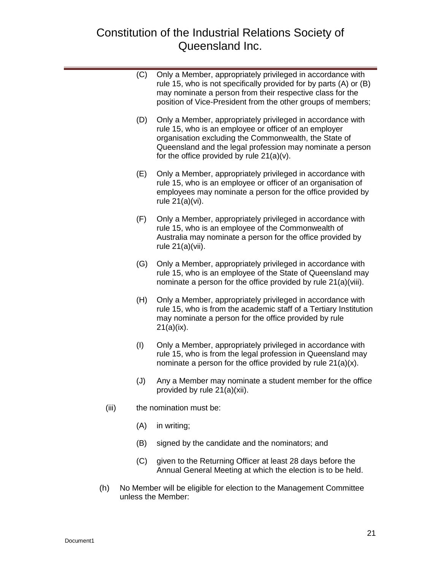| (C) | Only a Member, appropriately privileged in accordance with<br>rule 15, who is not specifically provided for by parts (A) or (B)<br>may nominate a person from their respective class for the<br>position of Vice-President from the other groups of members;                              |
|-----|-------------------------------------------------------------------------------------------------------------------------------------------------------------------------------------------------------------------------------------------------------------------------------------------|
| (D) | Only a Member, appropriately privileged in accordance with<br>rule 15, who is an employee or officer of an employer<br>organisation excluding the Commonwealth, the State of<br>Queensland and the legal profession may nominate a person<br>for the office provided by rule $21(a)(v)$ . |
| (E) | Only a Member, appropriately privileged in accordance with<br>rule 15, who is an employee or officer of an organisation of<br>employees may nominate a person for the office provided by<br>rule 21(a)(vi).                                                                               |
| (F) | Only a Member, appropriately privileged in accordance with<br>rule 15, who is an employee of the Commonwealth of<br>Australia may nominate a person for the office provided by<br>rule $21(a)(vii)$ .                                                                                     |
| (G) | Only a Member, appropriately privileged in accordance with<br>rule 15, who is an employee of the State of Queensland may<br>nominate a person for the office provided by rule 21(a)(viii).                                                                                                |
| (H) | Only a Member, appropriately privileged in accordance with<br>rule 15, who is from the academic staff of a Tertiary Institution<br>may nominate a person for the office provided by rule<br>$21(a)(ix)$ .                                                                                 |
| (1) | Only a Member, appropriately privileged in accordance with<br>rule 15, who is from the legal profession in Queensland may<br>nominate a person for the office provided by rule 21(a)(x).                                                                                                  |
|     |                                                                                                                                                                                                                                                                                           |

- (J) Any a Member may nominate a student member for the office provided by rule 21(a)(xii).
- (iii) the nomination must be:
	- (A) in writing;
	- (B) signed by the candidate and the nominators; and
	- (C) given to the Returning Officer at least 28 days before the Annual General Meeting at which the election is to be held.
- (h) No Member will be eligible for election to the Management Committee unless the Member: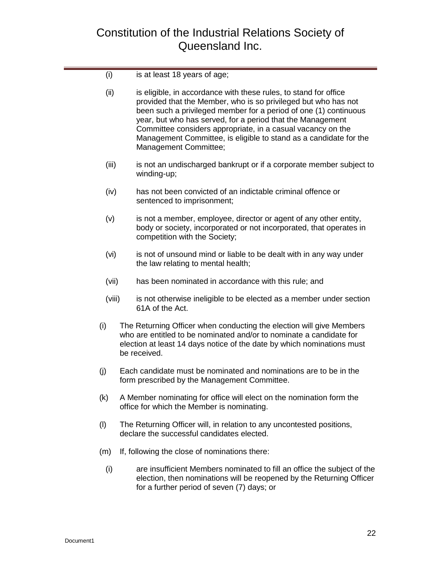| (i)    | is at least 18 years of age;                                                                                                                                                                                                                                                                                                                                                                                                      |  |  |
|--------|-----------------------------------------------------------------------------------------------------------------------------------------------------------------------------------------------------------------------------------------------------------------------------------------------------------------------------------------------------------------------------------------------------------------------------------|--|--|
| (ii)   | is eligible, in accordance with these rules, to stand for office<br>provided that the Member, who is so privileged but who has not<br>been such a privileged member for a period of one (1) continuous<br>year, but who has served, for a period that the Management<br>Committee considers appropriate, in a casual vacancy on the<br>Management Committee, is eligible to stand as a candidate for the<br>Management Committee; |  |  |
| (iii)  | is not an undischarged bankrupt or if a corporate member subject to<br>winding-up;                                                                                                                                                                                                                                                                                                                                                |  |  |
| (iv)   | has not been convicted of an indictable criminal offence or<br>sentenced to imprisonment;                                                                                                                                                                                                                                                                                                                                         |  |  |
| (v)    | is not a member, employee, director or agent of any other entity,<br>body or society, incorporated or not incorporated, that operates in<br>competition with the Society;                                                                                                                                                                                                                                                         |  |  |
| (vi)   | is not of unsound mind or liable to be dealt with in any way under<br>the law relating to mental health;                                                                                                                                                                                                                                                                                                                          |  |  |
| (vii)  | has been nominated in accordance with this rule; and                                                                                                                                                                                                                                                                                                                                                                              |  |  |
| (viii) | is not otherwise ineligible to be elected as a member under section<br>61A of the Act.                                                                                                                                                                                                                                                                                                                                            |  |  |
| (i)    | The Returning Officer when conducting the election will give Members<br>who are entitled to be nominated and/or to nominate a candidate for<br>election at least 14 days notice of the date by which nominations must<br>be received.                                                                                                                                                                                             |  |  |
| (i)    | Each candidate must be nominated and nominations are to be in the<br>form prescribed by the Management Committee.                                                                                                                                                                                                                                                                                                                 |  |  |
| (k)    | A Member nominating for office will elect on the nomination form the<br>office for which the Member is nominating.                                                                                                                                                                                                                                                                                                                |  |  |
| (1)    | The Returning Officer will, in relation to any uncontested positions,<br>declare the successful candidates elected.                                                                                                                                                                                                                                                                                                               |  |  |
| (m)    | If, following the close of nominations there:                                                                                                                                                                                                                                                                                                                                                                                     |  |  |
| (i)    | are insufficient Members nominated to fill an office the subject of the<br>election, then nominations will be reopened by the Returning Officer<br>for a further period of seven (7) days; or                                                                                                                                                                                                                                     |  |  |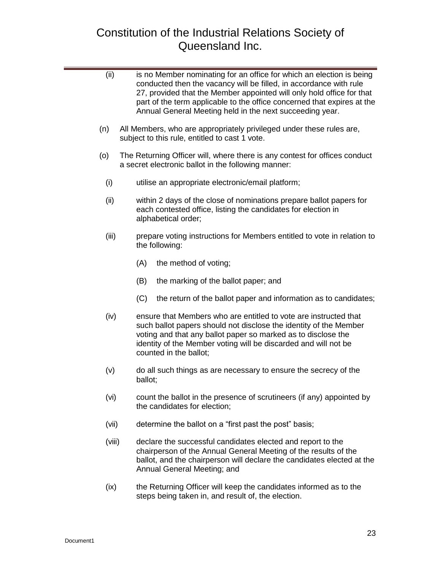| (ii)   |     |         | is no Member nominating for an office for which an election is being<br>conducted then the vacancy will be filled, in accordance with rule<br>27, provided that the Member appointed will only hold office for that<br>part of the term applicable to the office concerned that expires at the<br>Annual General Meeting held in the next succeeding year. |
|--------|-----|---------|------------------------------------------------------------------------------------------------------------------------------------------------------------------------------------------------------------------------------------------------------------------------------------------------------------------------------------------------------------|
| (n)    |     |         | All Members, who are appropriately privileged under these rules are,<br>subject to this rule, entitled to cast 1 vote.                                                                                                                                                                                                                                     |
| (0)    |     |         | The Returning Officer will, where there is any contest for offices conduct<br>a secret electronic ballot in the following manner:                                                                                                                                                                                                                          |
| (i)    |     |         | utilise an appropriate electronic/email platform;                                                                                                                                                                                                                                                                                                          |
| (ii)   |     |         | within 2 days of the close of nominations prepare ballot papers for<br>each contested office, listing the candidates for election in<br>alphabetical order;                                                                                                                                                                                                |
| (iii)  |     |         | prepare voting instructions for Members entitled to vote in relation to<br>the following:                                                                                                                                                                                                                                                                  |
|        | (A) |         | the method of voting;                                                                                                                                                                                                                                                                                                                                      |
|        | (B) |         | the marking of the ballot paper; and                                                                                                                                                                                                                                                                                                                       |
|        | (C) |         | the return of the ballot paper and information as to candidates;                                                                                                                                                                                                                                                                                           |
| (iv)   |     |         | ensure that Members who are entitled to vote are instructed that<br>such ballot papers should not disclose the identity of the Member<br>voting and that any ballot paper so marked as to disclose the<br>identity of the Member voting will be discarded and will not be<br>counted in the ballot;                                                        |
| (v)    |     | ballot; | do all such things as are necessary to ensure the secrecy of the                                                                                                                                                                                                                                                                                           |
| (vi)   |     |         | count the ballot in the presence of scrutineers (if any) appointed by<br>the candidates for election;                                                                                                                                                                                                                                                      |
| (vii)  |     |         | determine the ballot on a "first past the post" basis;                                                                                                                                                                                                                                                                                                     |
| (viii) |     |         | declare the successful candidates elected and report to the<br>chairperson of the Annual General Meeting of the results of the<br>ballot, and the chairperson will declare the candidates elected at the<br>Annual General Meeting; and                                                                                                                    |
| (ix)   |     |         | the Returning Officer will keep the candidates informed as to the<br>steps being taken in, and result of, the election.                                                                                                                                                                                                                                    |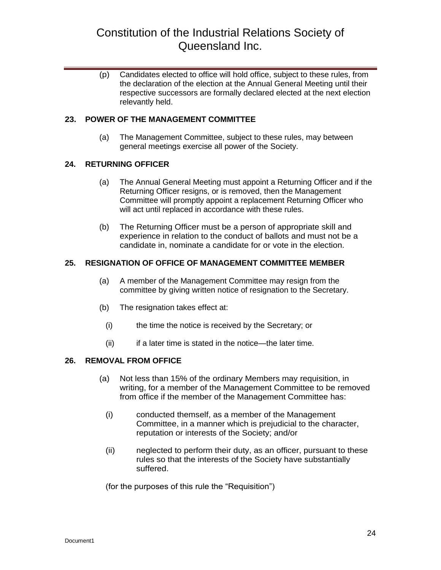(p) Candidates elected to office will hold office, subject to these rules, from the declaration of the election at the Annual General Meeting until their respective successors are formally declared elected at the next election relevantly held.

### <span id="page-23-0"></span>**23. POWER OF THE MANAGEMENT COMMITTEE**

(a) The Management Committee, subject to these rules, may between general meetings exercise all power of the Society.

### <span id="page-23-1"></span>**24. RETURNING OFFICER**

- (a) The Annual General Meeting must appoint a Returning Officer and if the Returning Officer resigns, or is removed, then the Management Committee will promptly appoint a replacement Returning Officer who will act until replaced in accordance with these rules.
- (b) The Returning Officer must be a person of appropriate skill and experience in relation to the conduct of ballots and must not be a candidate in, nominate a candidate for or vote in the election.

### <span id="page-23-2"></span>**25. RESIGNATION OF OFFICE OF MANAGEMENT COMMITTEE MEMBER**

- (a) A member of the Management Committee may resign from the committee by giving written notice of resignation to the Secretary.
- (b) The resignation takes effect at:
	- (i) the time the notice is received by the Secretary; or
	- (ii) if a later time is stated in the notice—the later time.

### <span id="page-23-3"></span>**26. REMOVAL FROM OFFICE**

- (a) Not less than 15% of the ordinary Members may requisition, in writing, for a member of the Management Committee to be removed from office if the member of the Management Committee has:
	- (i) conducted themself, as a member of the Management Committee, in a manner which is prejudicial to the character, reputation or interests of the Society; and/or
	- (ii) neglected to perform their duty, as an officer, pursuant to these rules so that the interests of the Society have substantially suffered.

(for the purposes of this rule the "Requisition")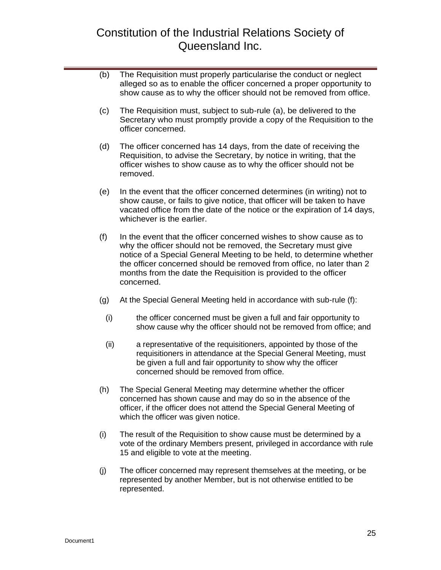- (b) The Requisition must properly particularise the conduct or neglect alleged so as to enable the officer concerned a proper opportunity to show cause as to why the officer should not be removed from office.
- (c) The Requisition must, subject to sub-rule (a), be delivered to the Secretary who must promptly provide a copy of the Requisition to the officer concerned.
- (d) The officer concerned has 14 days, from the date of receiving the Requisition, to advise the Secretary, by notice in writing, that the officer wishes to show cause as to why the officer should not be removed.
- (e) In the event that the officer concerned determines (in writing) not to show cause, or fails to give notice, that officer will be taken to have vacated office from the date of the notice or the expiration of 14 days, whichever is the earlier.
- (f) In the event that the officer concerned wishes to show cause as to why the officer should not be removed, the Secretary must give notice of a Special General Meeting to be held, to determine whether the officer concerned should be removed from office, no later than 2 months from the date the Requisition is provided to the officer concerned.
- (g) At the Special General Meeting held in accordance with sub-rule (f):
	- (i) the officer concerned must be given a full and fair opportunity to show cause why the officer should not be removed from office; and
	- (ii) a representative of the requisitioners, appointed by those of the requisitioners in attendance at the Special General Meeting, must be given a full and fair opportunity to show why the officer concerned should be removed from office.
- (h) The Special General Meeting may determine whether the officer concerned has shown cause and may do so in the absence of the officer, if the officer does not attend the Special General Meeting of which the officer was given notice.
- (i) The result of the Requisition to show cause must be determined by a vote of the ordinary Members present, privileged in accordance with rule 15 and eligible to vote at the meeting.
- (j) The officer concerned may represent themselves at the meeting, or be represented by another Member, but is not otherwise entitled to be represented.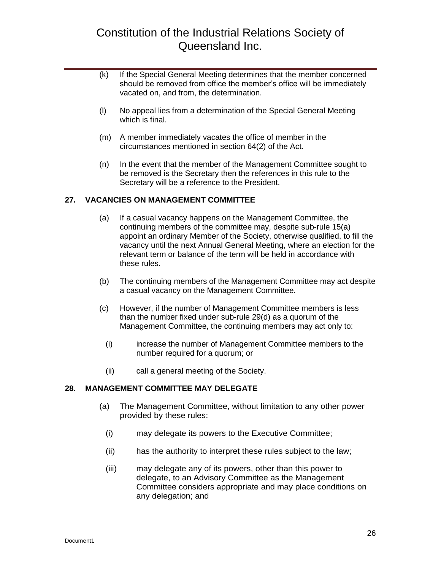- (k) If the Special General Meeting determines that the member concerned should be removed from office the member's office will be immediately vacated on, and from, the determination.
- (l) No appeal lies from a determination of the Special General Meeting which is final.
- (m) A member immediately vacates the office of member in the circumstances mentioned in section 64(2) of the Act.
- (n) In the event that the member of the Management Committee sought to be removed is the Secretary then the references in this rule to the Secretary will be a reference to the President.

### <span id="page-25-0"></span>**27. VACANCIES ON MANAGEMENT COMMITTEE**

- (a) If a casual vacancy happens on the Management Committee, the continuing members of the committee may, despite sub-rule 15(a) appoint an ordinary Member of the Society, otherwise qualified, to fill the vacancy until the next Annual General Meeting, where an election for the relevant term or balance of the term will be held in accordance with these rules.
- (b) The continuing members of the Management Committee may act despite a casual vacancy on the Management Committee.
- (c) However, if the number of Management Committee members is less than the number fixed under sub-rule 29(d) as a quorum of the Management Committee, the continuing members may act only to:
	- (i) increase the number of Management Committee members to the number required for a quorum; or
	- (ii) call a general meeting of the Society.

### <span id="page-25-1"></span>**28. MANAGEMENT COMMITTEE MAY DELEGATE**

- (a) The Management Committee, without limitation to any other power provided by these rules:
	- (i) may delegate its powers to the Executive Committee;
	- (ii) has the authority to interpret these rules subject to the law;
	- (iii) may delegate any of its powers, other than this power to delegate, to an Advisory Committee as the Management Committee considers appropriate and may place conditions on any delegation; and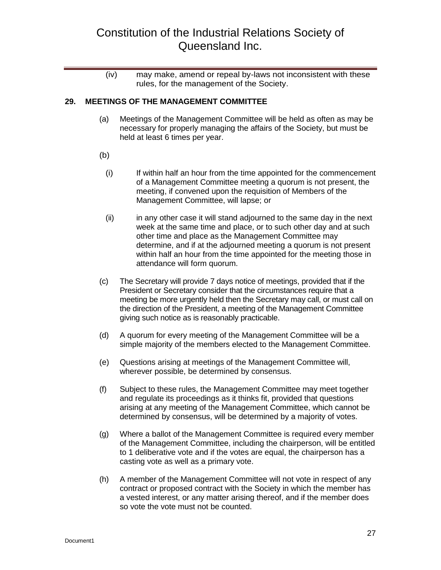(iv) may make, amend or repeal by-laws not inconsistent with these rules, for the management of the Society.

#### <span id="page-26-0"></span>**29. MEETINGS OF THE MANAGEMENT COMMITTEE**

- (a) Meetings of the Management Committee will be held as often as may be necessary for properly managing the affairs of the Society, but must be held at least 6 times per year.
- (b)
	- (i) If within half an hour from the time appointed for the commencement of a Management Committee meeting a quorum is not present, the meeting, if convened upon the requisition of Members of the Management Committee, will lapse; or
	- (ii) in any other case it will stand adjourned to the same day in the next week at the same time and place, or to such other day and at such other time and place as the Management Committee may determine, and if at the adjourned meeting a quorum is not present within half an hour from the time appointed for the meeting those in attendance will form quorum.
- (c) The Secretary will provide 7 days notice of meetings, provided that if the President or Secretary consider that the circumstances require that a meeting be more urgently held then the Secretary may call, or must call on the direction of the President, a meeting of the Management Committee giving such notice as is reasonably practicable.
- (d) A quorum for every meeting of the Management Committee will be a simple majority of the members elected to the Management Committee.
- (e) Questions arising at meetings of the Management Committee will, wherever possible, be determined by consensus.
- (f) Subject to these rules, the Management Committee may meet together and regulate its proceedings as it thinks fit, provided that questions arising at any meeting of the Management Committee, which cannot be determined by consensus, will be determined by a majority of votes.
- (g) Where a ballot of the Management Committee is required every member of the Management Committee, including the chairperson, will be entitled to 1 deliberative vote and if the votes are equal, the chairperson has a casting vote as well as a primary vote.
- (h) A member of the Management Committee will not vote in respect of any contract or proposed contract with the Society in which the member has a vested interest, or any matter arising thereof, and if the member does so vote the vote must not be counted.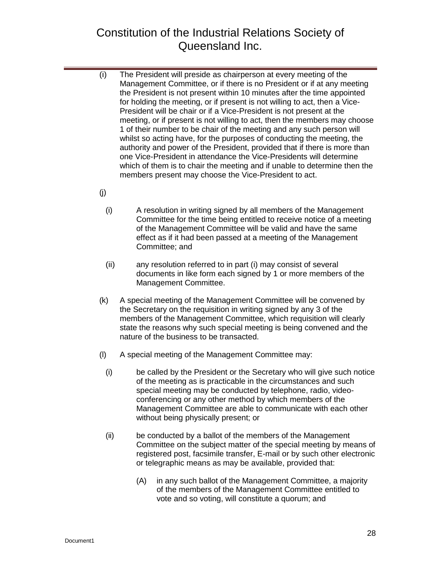- (i) The President will preside as chairperson at every meeting of the Management Committee, or if there is no President or if at any meeting the President is not present within 10 minutes after the time appointed for holding the meeting, or if present is not willing to act, then a Vice-President will be chair or if a Vice-President is not present at the meeting, or if present is not willing to act, then the members may choose 1 of their number to be chair of the meeting and any such person will whilst so acting have, for the purposes of conducting the meeting, the authority and power of the President, provided that if there is more than one Vice-President in attendance the Vice-Presidents will determine which of them is to chair the meeting and if unable to determine then the members present may choose the Vice-President to act.
- (j)
	- (i) A resolution in writing signed by all members of the Management Committee for the time being entitled to receive notice of a meeting of the Management Committee will be valid and have the same effect as if it had been passed at a meeting of the Management Committee; and
	- (ii) any resolution referred to in part (i) may consist of several documents in like form each signed by 1 or more members of the Management Committee.
- (k) A special meeting of the Management Committee will be convened by the Secretary on the requisition in writing signed by any 3 of the members of the Management Committee, which requisition will clearly state the reasons why such special meeting is being convened and the nature of the business to be transacted.
- (l) A special meeting of the Management Committee may:
	- (i) be called by the President or the Secretary who will give such notice of the meeting as is practicable in the circumstances and such special meeting may be conducted by telephone, radio, videoconferencing or any other method by which members of the Management Committee are able to communicate with each other without being physically present; or
	- (ii) be conducted by a ballot of the members of the Management Committee on the subject matter of the special meeting by means of registered post, facsimile transfer, E-mail or by such other electronic or telegraphic means as may be available, provided that:
		- (A) in any such ballot of the Management Committee, a majority of the members of the Management Committee entitled to vote and so voting, will constitute a quorum; and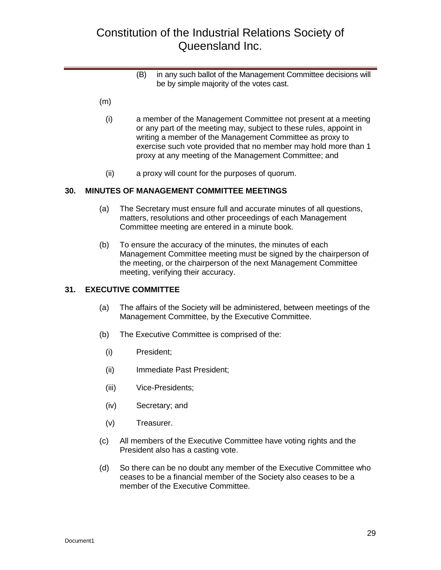- (B) in any such ballot of the Management Committee decisions will be by simple majority of the votes cast.
- (m)
	- (i) a member of the Management Committee not present at a meeting or any part of the meeting may, subject to these rules, appoint in writing a member of the Management Committee as proxy to exercise such vote provided that no member may hold more than 1 proxy at any meeting of the Management Committee; and
	- (ii) a proxy will count for the purposes of quorum.

#### <span id="page-28-0"></span>**30. MINUTES OF MANAGEMENT COMMITTEE MEETINGS**

- (a) The Secretary must ensure full and accurate minutes of all questions, matters, resolutions and other proceedings of each Management Committee meeting are entered in a minute book.
- (b) To ensure the accuracy of the minutes, the minutes of each Management Committee meeting must be signed by the chairperson of the meeting, or the chairperson of the next Management Committee meeting, verifying their accuracy.

#### <span id="page-28-1"></span>**31. EXECUTIVE COMMITTEE**

- (a) The affairs of the Society will be administered, between meetings of the Management Committee, by the Executive Committee.
- (b) The Executive Committee is comprised of the:
	- (i) President;
	- (ii) Immediate Past President;
	- (iii) Vice-Presidents;
	- (iv) Secretary; and
	- (v) Treasurer.
- (c) All members of the Executive Committee have voting rights and the President also has a casting vote.
- (d) So there can be no doubt any member of the Executive Committee who ceases to be a financial member of the Society also ceases to be a member of the Executive Committee.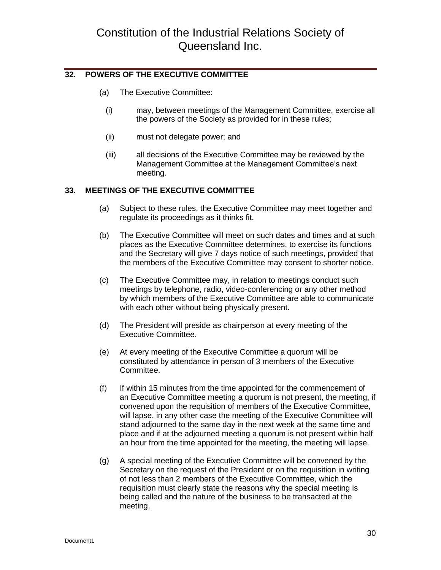### <span id="page-29-0"></span>**32. POWERS OF THE EXECUTIVE COMMITTEE**

- (a) The Executive Committee:
	- (i) may, between meetings of the Management Committee, exercise all the powers of the Society as provided for in these rules;
	- (ii) must not delegate power; and
	- (iii) all decisions of the Executive Committee may be reviewed by the Management Committee at the Management Committee's next meeting.

### <span id="page-29-1"></span>**33. MEETINGS OF THE EXECUTIVE COMMITTEE**

- (a) Subject to these rules, the Executive Committee may meet together and regulate its proceedings as it thinks fit.
- (b) The Executive Committee will meet on such dates and times and at such places as the Executive Committee determines, to exercise its functions and the Secretary will give 7 days notice of such meetings, provided that the members of the Executive Committee may consent to shorter notice.
- (c) The Executive Committee may, in relation to meetings conduct such meetings by telephone, radio, video-conferencing or any other method by which members of the Executive Committee are able to communicate with each other without being physically present.
- (d) The President will preside as chairperson at every meeting of the Executive Committee.
- (e) At every meeting of the Executive Committee a quorum will be constituted by attendance in person of 3 members of the Executive Committee.
- (f) If within 15 minutes from the time appointed for the commencement of an Executive Committee meeting a quorum is not present, the meeting, if convened upon the requisition of members of the Executive Committee, will lapse, in any other case the meeting of the Executive Committee will stand adjourned to the same day in the next week at the same time and place and if at the adjourned meeting a quorum is not present within half an hour from the time appointed for the meeting, the meeting will lapse.
- (g) A special meeting of the Executive Committee will be convened by the Secretary on the request of the President or on the requisition in writing of not less than 2 members of the Executive Committee, which the requisition must clearly state the reasons why the special meeting is being called and the nature of the business to be transacted at the meeting.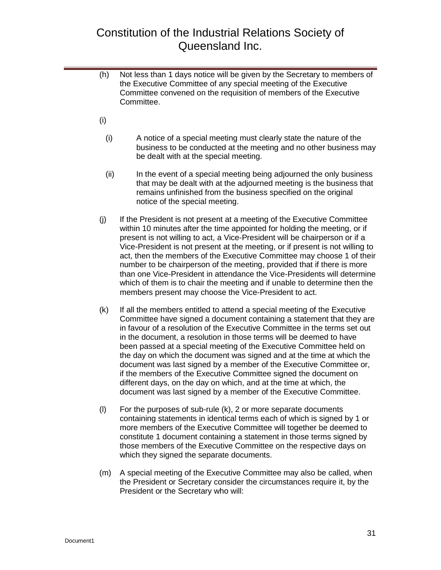- (h) Not less than 1 days notice will be given by the Secretary to members of the Executive Committee of any special meeting of the Executive Committee convened on the requisition of members of the Executive Committee.
- (i)
	- (i) A notice of a special meeting must clearly state the nature of the business to be conducted at the meeting and no other business may be dealt with at the special meeting.
	- (ii) In the event of a special meeting being adjourned the only business that may be dealt with at the adjourned meeting is the business that remains unfinished from the business specified on the original notice of the special meeting.
- (j) If the President is not present at a meeting of the Executive Committee within 10 minutes after the time appointed for holding the meeting, or if present is not willing to act, a Vice-President will be chairperson or if a Vice-President is not present at the meeting, or if present is not willing to act, then the members of the Executive Committee may choose 1 of their number to be chairperson of the meeting, provided that if there is more than one Vice-President in attendance the Vice-Presidents will determine which of them is to chair the meeting and if unable to determine then the members present may choose the Vice-President to act.
- (k) If all the members entitled to attend a special meeting of the Executive Committee have signed a document containing a statement that they are in favour of a resolution of the Executive Committee in the terms set out in the document, a resolution in those terms will be deemed to have been passed at a special meeting of the Executive Committee held on the day on which the document was signed and at the time at which the document was last signed by a member of the Executive Committee or, if the members of the Executive Committee signed the document on different days, on the day on which, and at the time at which, the document was last signed by a member of the Executive Committee.
- (l) For the purposes of sub-rule (k), 2 or more separate documents containing statements in identical terms each of which is signed by 1 or more members of the Executive Committee will together be deemed to constitute 1 document containing a statement in those terms signed by those members of the Executive Committee on the respective days on which they signed the separate documents.
- (m) A special meeting of the Executive Committee may also be called, when the President or Secretary consider the circumstances require it, by the President or the Secretary who will: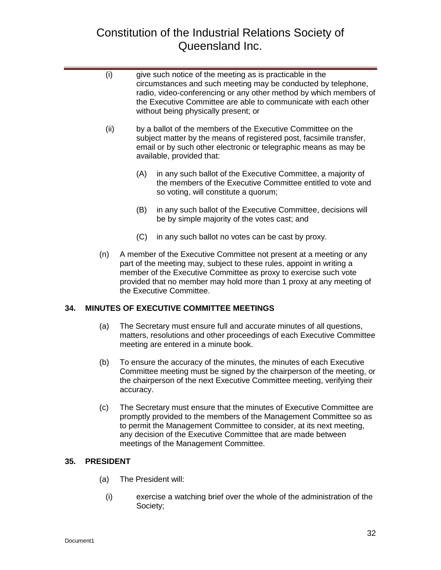|     | (i)  |     | give such notice of the meeting as is practicable in the<br>circumstances and such meeting may be conducted by telephone,<br>radio, video-conferencing or any other method by which members of<br>the Executive Committee are able to communicate with each other<br>without being physically present; or            |
|-----|------|-----|----------------------------------------------------------------------------------------------------------------------------------------------------------------------------------------------------------------------------------------------------------------------------------------------------------------------|
|     | (ii) |     | by a ballot of the members of the Executive Committee on the<br>subject matter by the means of registered post, facsimile transfer,<br>email or by such other electronic or telegraphic means as may be<br>available, provided that:                                                                                 |
|     |      | (A) | in any such ballot of the Executive Committee, a majority of<br>the members of the Executive Committee entitled to vote and<br>so voting, will constitute a quorum;                                                                                                                                                  |
|     |      | (B) | in any such ballot of the Executive Committee, decisions will<br>be by simple majority of the votes cast; and                                                                                                                                                                                                        |
|     |      | (C) | in any such ballot no votes can be cast by proxy.                                                                                                                                                                                                                                                                    |
|     | (n)  |     | A member of the Executive Committee not present at a meeting or any<br>part of the meeting may, subject to these rules, appoint in writing a<br>member of the Executive Committee as proxy to exercise such vote<br>provided that no member may hold more than 1 proxy at any meeting of<br>the Executive Committee. |
| 34. |      |     | MINUTES OF EXECUTIVE COMMITTEE MEETINGS                                                                                                                                                                                                                                                                              |
|     | (a)  |     | The Secretary must ensure full and accurate minutes of all questions,<br>matters, resolutions and other proceedings of each Executive Committee<br>meeting are entered in a minute book.                                                                                                                             |
|     | (b)  |     | To ensure the accuracy of the minutes, the minutes of each Executive<br>Committee meeting must be signed by the chairperson of the meeting, or<br>the chairperson of the next Executive Committee meeting, verifying their                                                                                           |

(c) The Secretary must ensure that the minutes of Executive Committee are promptly provided to the members of the Management Committee so as to permit the Management Committee to consider, at its next meeting, any decision of the Executive Committee that are made between meetings of the Management Committee.

### <span id="page-31-1"></span>**35. PRESIDENT**

(a) The President will:

<span id="page-31-0"></span>accuracy.

(i) exercise a watching brief over the whole of the administration of the Society;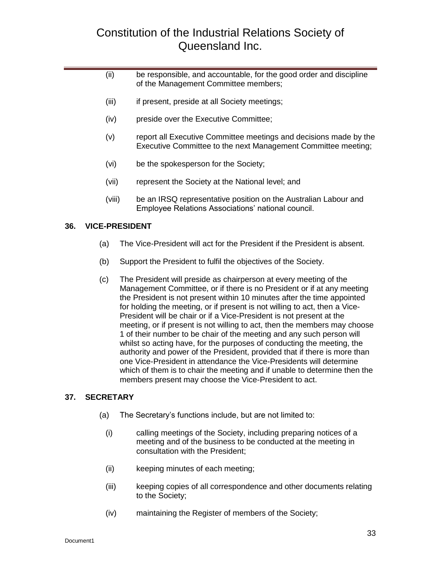| (iii) | be responsible, and accountable, for the good order and discipline |
|-------|--------------------------------------------------------------------|
|       | of the Management Committee members;                               |

- (iii) if present, preside at all Society meetings;
- (iv) preside over the Executive Committee;
- (v) report all Executive Committee meetings and decisions made by the Executive Committee to the next Management Committee meeting;
- (vi) be the spokesperson for the Society;
- (vii) represent the Society at the National level; and
- (viii) be an IRSQ representative position on the Australian Labour and Employee Relations Associations' national council.

#### <span id="page-32-0"></span>**36. VICE-PRESIDENT**

- (a) The Vice-President will act for the President if the President is absent.
- (b) Support the President to fulfil the objectives of the Society.
- (c) The President will preside as chairperson at every meeting of the Management Committee, or if there is no President or if at any meeting the President is not present within 10 minutes after the time appointed for holding the meeting, or if present is not willing to act, then a Vice-President will be chair or if a Vice-President is not present at the meeting, or if present is not willing to act, then the members may choose 1 of their number to be chair of the meeting and any such person will whilst so acting have, for the purposes of conducting the meeting, the authority and power of the President, provided that if there is more than one Vice-President in attendance the Vice-Presidents will determine which of them is to chair the meeting and if unable to determine then the members present may choose the Vice-President to act.

#### <span id="page-32-1"></span>**37. SECRETARY**

- (a) The Secretary's functions include, but are not limited to:
	- (i) calling meetings of the Society, including preparing notices of a meeting and of the business to be conducted at the meeting in consultation with the President;
	- (ii) keeping minutes of each meeting;
	- (iii) keeping copies of all correspondence and other documents relating to the Society;
	- (iv) maintaining the Register of members of the Society;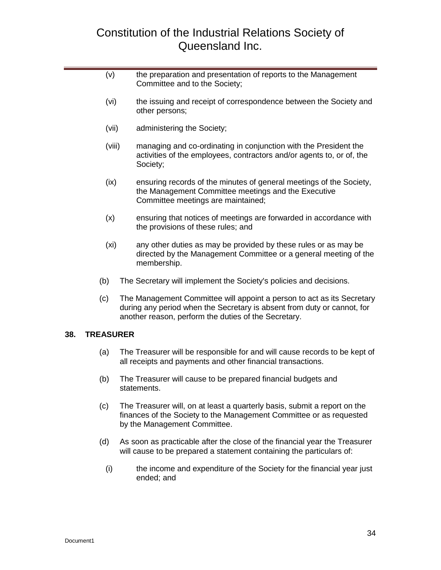|  | (v)               |  | the preparation and presentation of reports to the Management<br>Committee and to the Society;                                                                                                            |
|--|-------------------|--|-----------------------------------------------------------------------------------------------------------------------------------------------------------------------------------------------------------|
|  | (vi)              |  | the issuing and receipt of correspondence between the Society and<br>other persons;                                                                                                                       |
|  | (vii)             |  | administering the Society;                                                                                                                                                                                |
|  | (viii)<br>(ix)    |  | managing and co-ordinating in conjunction with the President the<br>activities of the employees, contractors and/or agents to, or of, the<br>Society;                                                     |
|  |                   |  | ensuring records of the minutes of general meetings of the Society,<br>the Management Committee meetings and the Executive<br>Committee meetings are maintained;                                          |
|  | (x)               |  | ensuring that notices of meetings are forwarded in accordance with<br>the provisions of these rules; and                                                                                                  |
|  | (x <sub>i</sub> ) |  | any other duties as may be provided by these rules or as may be<br>directed by the Management Committee or a general meeting of the<br>membership.                                                        |
|  | (b)               |  | The Secretary will implement the Society's policies and decisions.                                                                                                                                        |
|  | (c)               |  | The Management Committee will appoint a person to act as its Secretary<br>during any period when the Secretary is absent from duty or cannot, for<br>another reason, perform the duties of the Secretary. |
|  | <b>TREASURER</b>  |  |                                                                                                                                                                                                           |
|  | (a)               |  | The Treasurer will be responsible for and will cause records to be kept of<br>all receipts and payments and other financial transactions.                                                                 |
|  | (b)               |  | The Treasurer will cause to be prepared financial budgets and<br>statements.                                                                                                                              |
|  | (c)               |  | The Treasurer will, on at least a quarterly basis, submit a report on the<br>finances of the Society to the Management Committee or as requested                                                          |

(d) As soon as practicable after the close of the financial year the Treasurer will cause to be prepared a statement containing the particulars of:

by the Management Committee.

(i) the income and expenditure of the Society for the financial year just ended; and

<span id="page-33-0"></span>**38. TREASURER**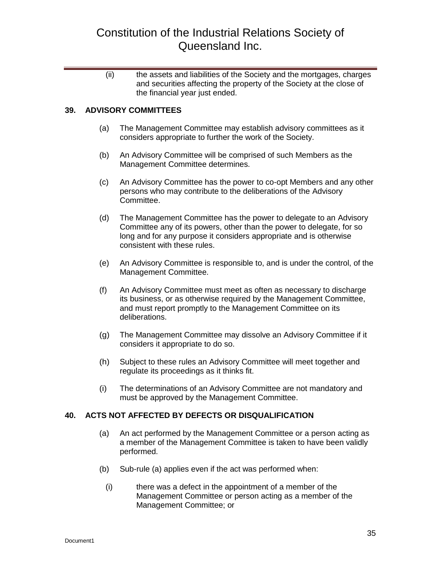(ii) the assets and liabilities of the Society and the mortgages, charges and securities affecting the property of the Society at the close of the financial year just ended.

### <span id="page-34-0"></span>**39. ADVISORY COMMITTEES**

- (a) The Management Committee may establish advisory committees as it considers appropriate to further the work of the Society.
- (b) An Advisory Committee will be comprised of such Members as the Management Committee determines.
- (c) An Advisory Committee has the power to co-opt Members and any other persons who may contribute to the deliberations of the Advisory Committee.
- (d) The Management Committee has the power to delegate to an Advisory Committee any of its powers, other than the power to delegate, for so long and for any purpose it considers appropriate and is otherwise consistent with these rules.
- (e) An Advisory Committee is responsible to, and is under the control, of the Management Committee.
- (f) An Advisory Committee must meet as often as necessary to discharge its business, or as otherwise required by the Management Committee, and must report promptly to the Management Committee on its deliberations.
- (g) The Management Committee may dissolve an Advisory Committee if it considers it appropriate to do so.
- (h) Subject to these rules an Advisory Committee will meet together and regulate its proceedings as it thinks fit.
- (i) The determinations of an Advisory Committee are not mandatory and must be approved by the Management Committee.

#### <span id="page-34-1"></span>**40. ACTS NOT AFFECTED BY DEFECTS OR DISQUALIFICATION**

- (a) An act performed by the Management Committee or a person acting as a member of the Management Committee is taken to have been validly performed.
- (b) Sub-rule (a) applies even if the act was performed when:
	- (i) there was a defect in the appointment of a member of the Management Committee or person acting as a member of the Management Committee; or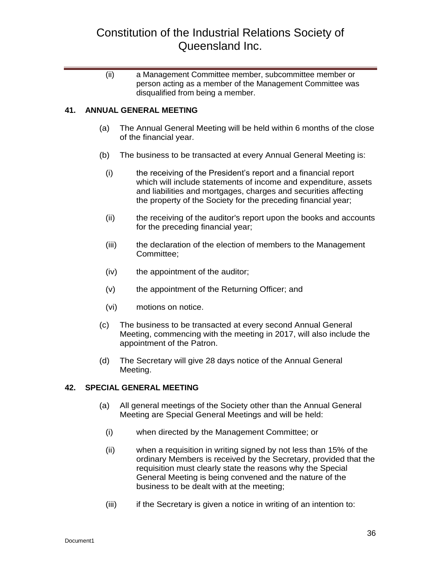(ii) a Management Committee member, subcommittee member or person acting as a member of the Management Committee was disqualified from being a member.

### <span id="page-35-0"></span>**41. ANNUAL GENERAL MEETING**

- (a) The Annual General Meeting will be held within 6 months of the close of the financial year.
- (b) The business to be transacted at every Annual General Meeting is:
	- (i) the receiving of the President's report and a financial report which will include statements of income and expenditure, assets and liabilities and mortgages, charges and securities affecting the property of the Society for the preceding financial year;
	- (ii) the receiving of the auditor's report upon the books and accounts for the preceding financial year;
	- (iii) the declaration of the election of members to the Management Committee;
	- (iv) the appointment of the auditor;
	- (v) the appointment of the Returning Officer; and
	- (vi) motions on notice.
- (c) The business to be transacted at every second Annual General Meeting, commencing with the meeting in 2017, will also include the appointment of the Patron.
- (d) The Secretary will give 28 days notice of the Annual General Meeting.

#### <span id="page-35-1"></span>**42. SPECIAL GENERAL MEETING**

- (a) All general meetings of the Society other than the Annual General Meeting are Special General Meetings and will be held:
	- (i) when directed by the Management Committee; or
	- (ii) when a requisition in writing signed by not less than 15% of the ordinary Members is received by the Secretary, provided that the requisition must clearly state the reasons why the Special General Meeting is being convened and the nature of the business to be dealt with at the meeting;
	- (iii) if the Secretary is given a notice in writing of an intention to: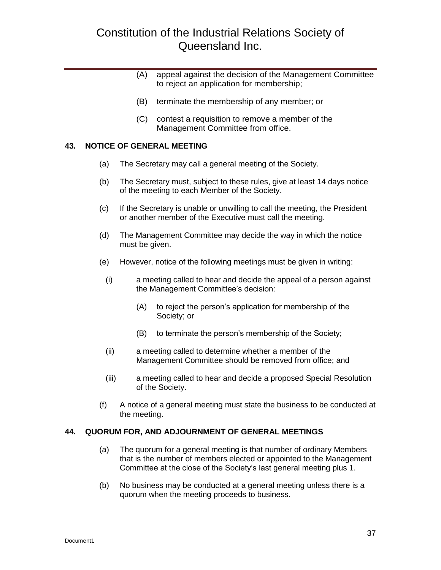- (A) appeal against the decision of the Management Committee to reject an application for membership;
- (B) terminate the membership of any member; or
- (C) contest a requisition to remove a member of the Management Committee from office.

#### <span id="page-36-0"></span>**43. NOTICE OF GENERAL MEETING**

- (a) The Secretary may call a general meeting of the Society.
- (b) The Secretary must, subject to these rules, give at least 14 days notice of the meeting to each Member of the Society.
- (c) If the Secretary is unable or unwilling to call the meeting, the President or another member of the Executive must call the meeting.
- (d) The Management Committee may decide the way in which the notice must be given.
- (e) However, notice of the following meetings must be given in writing:
	- (i) a meeting called to hear and decide the appeal of a person against the Management Committee's decision:
		- (A) to reject the person's application for membership of the Society; or
		- (B) to terminate the person's membership of the Society;
	- (ii) a meeting called to determine whether a member of the Management Committee should be removed from office; and
	- (iii) a meeting called to hear and decide a proposed Special Resolution of the Society.
- (f) A notice of a general meeting must state the business to be conducted at the meeting.

#### <span id="page-36-1"></span>**44. QUORUM FOR, AND ADJOURNMENT OF GENERAL MEETINGS**

- (a) The quorum for a general meeting is that number of ordinary Members that is the number of members elected or appointed to the Management Committee at the close of the Society's last general meeting plus 1.
- (b) No business may be conducted at a general meeting unless there is a quorum when the meeting proceeds to business.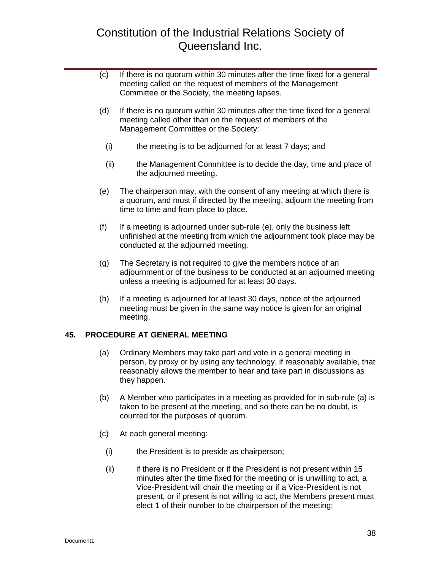- (c) If there is no quorum within 30 minutes after the time fixed for a general meeting called on the request of members of the Management Committee or the Society, the meeting lapses.
- (d) If there is no quorum within 30 minutes after the time fixed for a general meeting called other than on the request of members of the Management Committee or the Society:
	- (i) the meeting is to be adjourned for at least 7 days; and
	- (ii) the Management Committee is to decide the day, time and place of the adjourned meeting.
- (e) The chairperson may, with the consent of any meeting at which there is a quorum, and must if directed by the meeting, adjourn the meeting from time to time and from place to place.
- (f) If a meeting is adjourned under sub-rule (e), only the business left unfinished at the meeting from which the adjournment took place may be conducted at the adjourned meeting.
- (g) The Secretary is not required to give the members notice of an adjournment or of the business to be conducted at an adjourned meeting unless a meeting is adjourned for at least 30 days.
- (h) If a meeting is adjourned for at least 30 days, notice of the adjourned meeting must be given in the same way notice is given for an original meeting.

### <span id="page-37-0"></span>**45. PROCEDURE AT GENERAL MEETING**

- (a) Ordinary Members may take part and vote in a general meeting in person, by proxy or by using any technology, if reasonably available, that reasonably allows the member to hear and take part in discussions as they happen.
- (b) A Member who participates in a meeting as provided for in sub-rule (a) is taken to be present at the meeting, and so there can be no doubt, is counted for the purposes of quorum.
- (c) At each general meeting:
	- (i) the President is to preside as chairperson;
	- (ii) if there is no President or if the President is not present within 15 minutes after the time fixed for the meeting or is unwilling to act, a Vice-President will chair the meeting or if a Vice-President is not present, or if present is not willing to act, the Members present must elect 1 of their number to be chairperson of the meeting;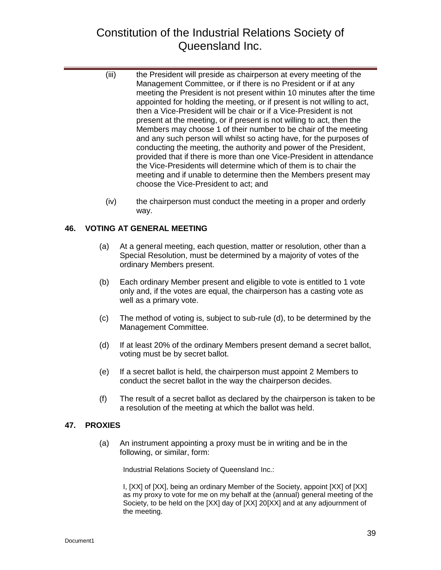- (iii) the President will preside as chairperson at every meeting of the Management Committee, or if there is no President or if at any meeting the President is not present within 10 minutes after the time appointed for holding the meeting, or if present is not willing to act, then a Vice-President will be chair or if a Vice-President is not present at the meeting, or if present is not willing to act, then the Members may choose 1 of their number to be chair of the meeting and any such person will whilst so acting have, for the purposes of conducting the meeting, the authority and power of the President, provided that if there is more than one Vice-President in attendance the Vice-Presidents will determine which of them is to chair the meeting and if unable to determine then the Members present may choose the Vice-President to act; and
- (iv) the chairperson must conduct the meeting in a proper and orderly way.

### <span id="page-38-0"></span>**46. VOTING AT GENERAL MEETING**

- (a) At a general meeting, each question, matter or resolution, other than a Special Resolution, must be determined by a majority of votes of the ordinary Members present.
- (b) Each ordinary Member present and eligible to vote is entitled to 1 vote only and, if the votes are equal, the chairperson has a casting vote as well as a primary vote.
- (c) The method of voting is, subject to sub-rule (d), to be determined by the Management Committee.
- (d) If at least 20% of the ordinary Members present demand a secret ballot, voting must be by secret ballot.
- (e) If a secret ballot is held, the chairperson must appoint 2 Members to conduct the secret ballot in the way the chairperson decides.
- (f) The result of a secret ballot as declared by the chairperson is taken to be a resolution of the meeting at which the ballot was held.

### <span id="page-38-1"></span>**47. PROXIES**

(a) An instrument appointing a proxy must be in writing and be in the following, or similar, form:

Industrial Relations Society of Queensland Inc.:

I, [XX] of [XX], being an ordinary Member of the Society, appoint [XX] of [XX] as my proxy to vote for me on my behalf at the (annual) general meeting of the Society, to be held on the [XX] day of [XX] 20[XX] and at any adjournment of the meeting.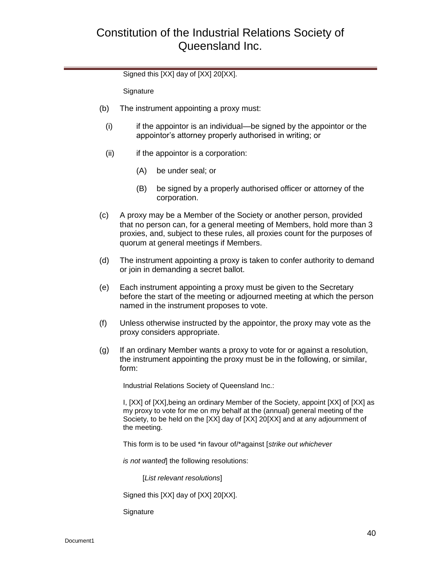Signed this [XX] day of [XX] 20[XX].

**Signature** 

- (b) The instrument appointing a proxy must:
	- (i) if the appointor is an individual—be signed by the appointor or the appointor's attorney properly authorised in writing; or
	- $(ii)$  if the appointor is a corporation:
		- (A) be under seal; or
		- (B) be signed by a properly authorised officer or attorney of the corporation.
- (c) A proxy may be a Member of the Society or another person, provided that no person can, for a general meeting of Members, hold more than 3 proxies, and, subject to these rules, all proxies count for the purposes of quorum at general meetings if Members.
- (d) The instrument appointing a proxy is taken to confer authority to demand or join in demanding a secret ballot.
- (e) Each instrument appointing a proxy must be given to the Secretary before the start of the meeting or adjourned meeting at which the person named in the instrument proposes to vote.
- (f) Unless otherwise instructed by the appointor, the proxy may vote as the proxy considers appropriate.
- (g) If an ordinary Member wants a proxy to vote for or against a resolution, the instrument appointing the proxy must be in the following, or similar, form:

Industrial Relations Society of Queensland Inc.:

I, [XX] of [XX],being an ordinary Member of the Society, appoint [XX] of [XX] as my proxy to vote for me on my behalf at the (annual) general meeting of the Society, to be held on the [XX] day of [XX] 20[XX] and at any adjournment of the meeting.

This form is to be used \*in favour of/\*against [*strike out whichever*

*is not wanted*] the following resolutions:

[*List relevant resolutions*]

Signed this [XX] day of [XX] 20[XX].

**Signature**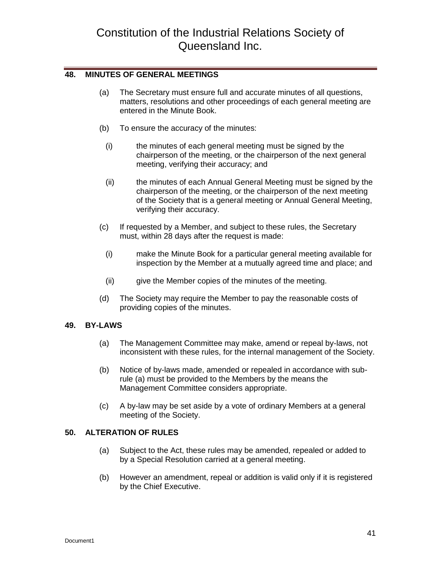#### <span id="page-40-0"></span>**48. MINUTES OF GENERAL MEETINGS**

- (a) The Secretary must ensure full and accurate minutes of all questions, matters, resolutions and other proceedings of each general meeting are entered in the Minute Book.
- (b) To ensure the accuracy of the minutes:
	- (i) the minutes of each general meeting must be signed by the chairperson of the meeting, or the chairperson of the next general meeting, verifying their accuracy; and
	- (ii) the minutes of each Annual General Meeting must be signed by the chairperson of the meeting, or the chairperson of the next meeting of the Society that is a general meeting or Annual General Meeting, verifying their accuracy.
- (c) If requested by a Member, and subject to these rules, the Secretary must, within 28 days after the request is made:
	- (i) make the Minute Book for a particular general meeting available for inspection by the Member at a mutually agreed time and place; and
	- (ii) give the Member copies of the minutes of the meeting.
- (d) The Society may require the Member to pay the reasonable costs of providing copies of the minutes.

### <span id="page-40-1"></span>**49. BY-LAWS**

- (a) The Management Committee may make, amend or repeal by-laws, not inconsistent with these rules, for the internal management of the Society.
- (b) Notice of by-laws made, amended or repealed in accordance with subrule (a) must be provided to the Members by the means the Management Committee considers appropriate.
- (c) A by-law may be set aside by a vote of ordinary Members at a general meeting of the Society.

### <span id="page-40-2"></span>**50. ALTERATION OF RULES**

- (a) Subject to the Act, these rules may be amended, repealed or added to by a Special Resolution carried at a general meeting.
- (b) However an amendment, repeal or addition is valid only if it is registered by the Chief Executive.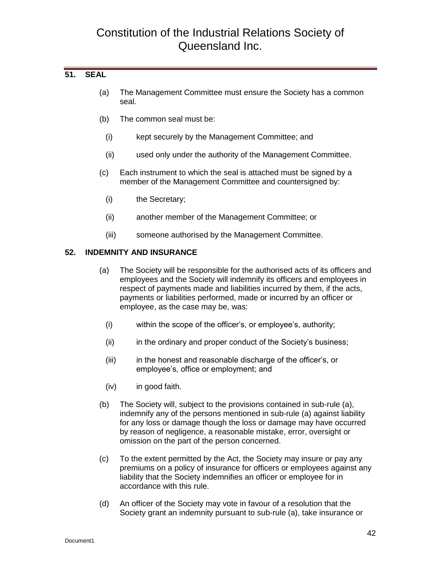### <span id="page-41-0"></span>**51. SEAL**

- (a) The Management Committee must ensure the Society has a common seal.
- (b) The common seal must be:
	- (i) kept securely by the Management Committee; and
	- (ii) used only under the authority of the Management Committee.
- (c) Each instrument to which the seal is attached must be signed by a member of the Management Committee and countersigned by:
	- (i) the Secretary;
	- (ii) another member of the Management Committee; or
	- (iii) someone authorised by the Management Committee.

#### <span id="page-41-1"></span>**52. INDEMNITY AND INSURANCE**

- (a) The Society will be responsible for the authorised acts of its officers and employees and the Society will indemnify its officers and employees in respect of payments made and liabilities incurred by them, if the acts, payments or liabilities performed, made or incurred by an officer or employee, as the case may be, was:
	- (i) within the scope of the officer's, or employee's, authority;
	- (ii) in the ordinary and proper conduct of the Society's business;
	- (iii) in the honest and reasonable discharge of the officer's, or employee's, office or employment; and
	- (iv) in good faith.
- (b) The Society will, subject to the provisions contained in sub-rule (a), indemnify any of the persons mentioned in sub-rule (a) against liability for any loss or damage though the loss or damage may have occurred by reason of negligence, a reasonable mistake, error, oversight or omission on the part of the person concerned.
- (c) To the extent permitted by the Act, the Society may insure or pay any premiums on a policy of insurance for officers or employees against any liability that the Society indemnifies an officer or employee for in accordance with this rule.
- (d) An officer of the Society may vote in favour of a resolution that the Society grant an indemnity pursuant to sub-rule (a), take insurance or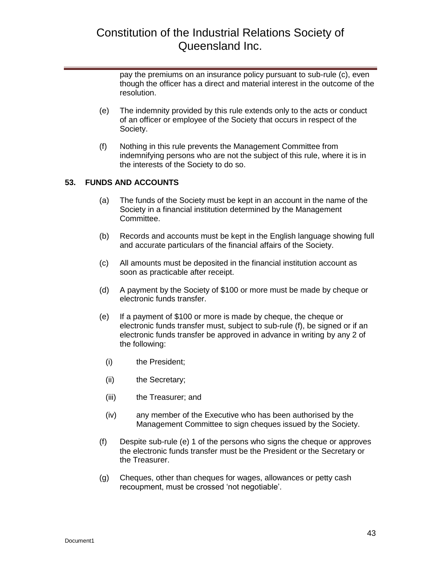pay the premiums on an insurance policy pursuant to sub-rule (c), even though the officer has a direct and material interest in the outcome of the resolution.

- (e) The indemnity provided by this rule extends only to the acts or conduct of an officer or employee of the Society that occurs in respect of the Society.
- (f) Nothing in this rule prevents the Management Committee from indemnifying persons who are not the subject of this rule, where it is in the interests of the Society to do so.

### <span id="page-42-0"></span>**53. FUNDS AND ACCOUNTS**

- (a) The funds of the Society must be kept in an account in the name of the Society in a financial institution determined by the Management Committee.
- (b) Records and accounts must be kept in the English language showing full and accurate particulars of the financial affairs of the Society.
- (c) All amounts must be deposited in the financial institution account as soon as practicable after receipt.
- (d) A payment by the Society of \$100 or more must be made by cheque or electronic funds transfer.
- (e) If a payment of \$100 or more is made by cheque, the cheque or electronic funds transfer must, subject to sub-rule (f), be signed or if an electronic funds transfer be approved in advance in writing by any 2 of the following:
	- (i) the President;
	- (ii) the Secretary;
	- (iii) the Treasurer; and
	- (iv) any member of the Executive who has been authorised by the Management Committee to sign cheques issued by the Society.
- (f) Despite sub-rule (e) 1 of the persons who signs the cheque or approves the electronic funds transfer must be the President or the Secretary or the Treasurer.
- (g) Cheques, other than cheques for wages, allowances or petty cash recoupment, must be crossed 'not negotiable'.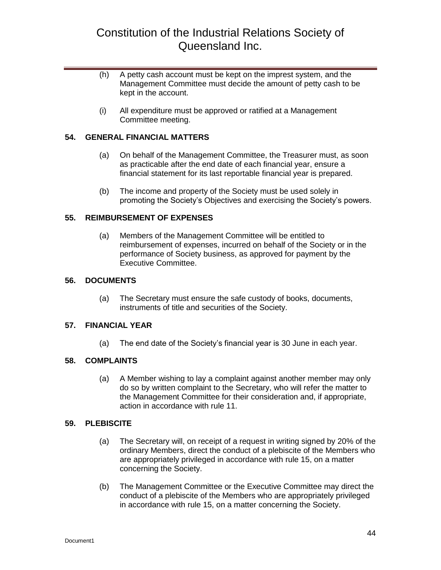- (h) A petty cash account must be kept on the imprest system, and the Management Committee must decide the amount of petty cash to be kept in the account.
- (i) All expenditure must be approved or ratified at a Management Committee meeting.

### <span id="page-43-0"></span>**54. GENERAL FINANCIAL MATTERS**

- (a) On behalf of the Management Committee, the Treasurer must, as soon as practicable after the end date of each financial year, ensure a financial statement for its last reportable financial year is prepared.
- (b) The income and property of the Society must be used solely in promoting the Society's Objectives and exercising the Society's powers.

#### <span id="page-43-1"></span>**55. REIMBURSEMENT OF EXPENSES**

(a) Members of the Management Committee will be entitled to reimbursement of expenses, incurred on behalf of the Society or in the performance of Society business, as approved for payment by the Executive Committee.

#### <span id="page-43-2"></span>**56. DOCUMENTS**

(a) The Secretary must ensure the safe custody of books, documents, instruments of title and securities of the Society.

#### <span id="page-43-3"></span>**57. FINANCIAL YEAR**

(a) The end date of the Society's financial year is 30 June in each year.

#### <span id="page-43-4"></span>**58. COMPLAINTS**

(a) A Member wishing to lay a complaint against another member may only do so by written complaint to the Secretary, who will refer the matter to the Management Committee for their consideration and, if appropriate, action in accordance with rule 11.

#### <span id="page-43-5"></span>**59. PLEBISCITE**

- (a) The Secretary will, on receipt of a request in writing signed by 20% of the ordinary Members, direct the conduct of a plebiscite of the Members who are appropriately privileged in accordance with rule 15, on a matter concerning the Society.
- (b) The Management Committee or the Executive Committee may direct the conduct of a plebiscite of the Members who are appropriately privileged in accordance with rule 15, on a matter concerning the Society.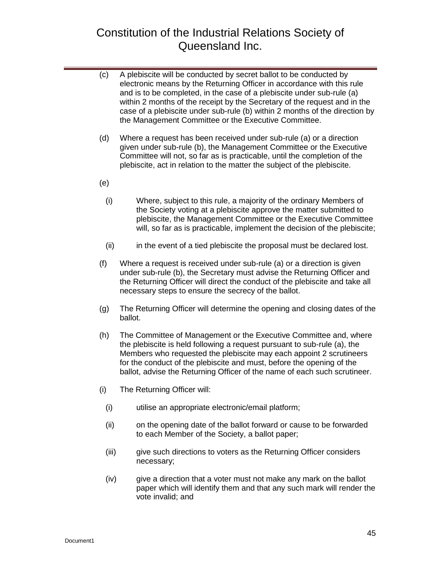- (c) A plebiscite will be conducted by secret ballot to be conducted by electronic means by the Returning Officer in accordance with this rule and is to be completed, in the case of a plebiscite under sub-rule (a) within 2 months of the receipt by the Secretary of the request and in the case of a plebiscite under sub-rule (b) within 2 months of the direction by the Management Committee or the Executive Committee.
- (d) Where a request has been received under sub-rule (a) or a direction given under sub-rule (b), the Management Committee or the Executive Committee will not, so far as is practicable, until the completion of the plebiscite, act in relation to the matter the subject of the plebiscite.
- (e)
	- (i) Where, subject to this rule, a majority of the ordinary Members of the Society voting at a plebiscite approve the matter submitted to plebiscite, the Management Committee or the Executive Committee will, so far as is practicable, implement the decision of the plebiscite;
	- (ii) in the event of a tied plebiscite the proposal must be declared lost.
- (f) Where a request is received under sub-rule (a) or a direction is given under sub-rule (b), the Secretary must advise the Returning Officer and the Returning Officer will direct the conduct of the plebiscite and take all necessary steps to ensure the secrecy of the ballot.
- (g) The Returning Officer will determine the opening and closing dates of the ballot.
- (h) The Committee of Management or the Executive Committee and, where the plebiscite is held following a request pursuant to sub-rule (a), the Members who requested the plebiscite may each appoint 2 scrutineers for the conduct of the plebiscite and must, before the opening of the ballot, advise the Returning Officer of the name of each such scrutineer.
- (i) The Returning Officer will:
	- (i) utilise an appropriate electronic/email platform;
	- (ii) on the opening date of the ballot forward or cause to be forwarded to each Member of the Society, a ballot paper;
	- (iii) give such directions to voters as the Returning Officer considers necessary;
	- (iv) give a direction that a voter must not make any mark on the ballot paper which will identify them and that any such mark will render the vote invalid; and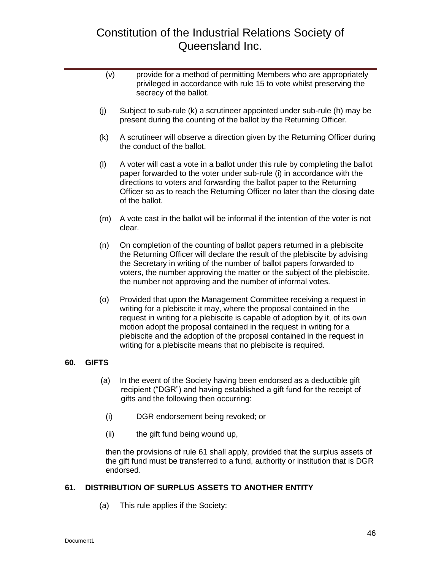- (v) provide for a method of permitting Members who are appropriately privileged in accordance with rule 15 to vote whilst preserving the secrecy of the ballot.
- (j) Subject to sub-rule (k) a scrutineer appointed under sub-rule (h) may be present during the counting of the ballot by the Returning Officer.
- (k) A scrutineer will observe a direction given by the Returning Officer during the conduct of the ballot.
- (l) A voter will cast a vote in a ballot under this rule by completing the ballot paper forwarded to the voter under sub-rule (i) in accordance with the directions to voters and forwarding the ballot paper to the Returning Officer so as to reach the Returning Officer no later than the closing date of the ballot.
- (m) A vote cast in the ballot will be informal if the intention of the voter is not clear.
- (n) On completion of the counting of ballot papers returned in a plebiscite the Returning Officer will declare the result of the plebiscite by advising the Secretary in writing of the number of ballot papers forwarded to voters, the number approving the matter or the subject of the plebiscite, the number not approving and the number of informal votes.
- (o) Provided that upon the Management Committee receiving a request in writing for a plebiscite it may, where the proposal contained in the request in writing for a plebiscite is capable of adoption by it, of its own motion adopt the proposal contained in the request in writing for a plebiscite and the adoption of the proposal contained in the request in writing for a plebiscite means that no plebiscite is required.

### <span id="page-45-0"></span>**60. GIFTS**

- (a) In the event of the Society having been endorsed as a deductible gift recipient ("DGR") and having established a gift fund for the receipt of gifts and the following then occurring:
	- (i) DGR endorsement being revoked; or
	- (ii) the gift fund being wound up,

then the provisions of rule 61 shall apply, provided that the surplus assets of the gift fund must be transferred to a fund, authority or institution that is DGR endorsed.

### <span id="page-45-1"></span>**61. DISTRIBUTION OF SURPLUS ASSETS TO ANOTHER ENTITY**

(a) This rule applies if the Society: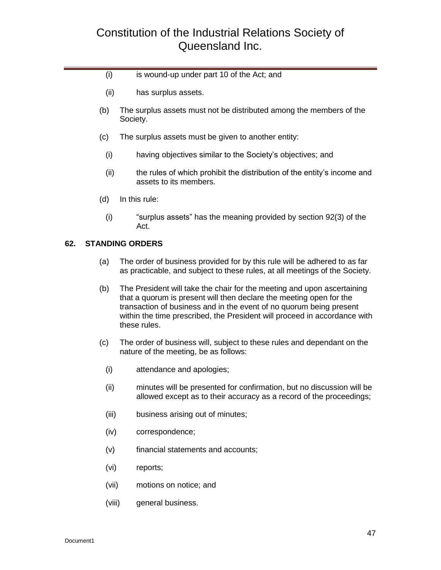- (i) is wound-up under part 10 of the Act; and
- (ii) has surplus assets.
- (b) The surplus assets must not be distributed among the members of the Society.
- (c) The surplus assets must be given to another entity:
	- (i) having objectives similar to the Society's objectives; and
	- (ii) the rules of which prohibit the distribution of the entity's income and assets to its members.
- (d) In this rule:
	- (i) "surplus assets" has the meaning provided by section 92(3) of the Act.

#### <span id="page-46-0"></span>**62. STANDING ORDERS**

- (a) The order of business provided for by this rule will be adhered to as far as practicable, and subject to these rules, at all meetings of the Society.
- (b) The President will take the chair for the meeting and upon ascertaining that a quorum is present will then declare the meeting open for the transaction of business and in the event of no quorum being present within the time prescribed, the President will proceed in accordance with these rules.
- (c) The order of business will, subject to these rules and dependant on the nature of the meeting, be as follows:
	- (i) attendance and apologies;
	- (ii) minutes will be presented for confirmation, but no discussion will be allowed except as to their accuracy as a record of the proceedings;
	- (iii) business arising out of minutes;
	- (iv) correspondence;
	- (v) financial statements and accounts;
	- (vi) reports;
	- (vii) motions on notice; and
	- (viii) general business.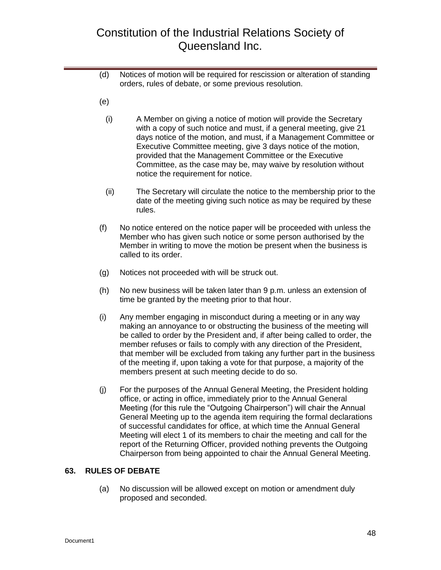- (d) Notices of motion will be required for rescission or alteration of standing orders, rules of debate, or some previous resolution.
- (e)
	- (i) A Member on giving a notice of motion will provide the Secretary with a copy of such notice and must, if a general meeting, give 21 days notice of the motion, and must, if a Management Committee or Executive Committee meeting, give 3 days notice of the motion, provided that the Management Committee or the Executive Committee, as the case may be, may waive by resolution without notice the requirement for notice.
	- (ii) The Secretary will circulate the notice to the membership prior to the date of the meeting giving such notice as may be required by these rules.
- (f) No notice entered on the notice paper will be proceeded with unless the Member who has given such notice or some person authorised by the Member in writing to move the motion be present when the business is called to its order.
- (g) Notices not proceeded with will be struck out.
- (h) No new business will be taken later than 9 p.m. unless an extension of time be granted by the meeting prior to that hour.
- (i) Any member engaging in misconduct during a meeting or in any way making an annoyance to or obstructing the business of the meeting will be called to order by the President and, if after being called to order, the member refuses or fails to comply with any direction of the President, that member will be excluded from taking any further part in the business of the meeting if, upon taking a vote for that purpose, a majority of the members present at such meeting decide to do so.
- (j) For the purposes of the Annual General Meeting, the President holding office, or acting in office, immediately prior to the Annual General Meeting (for this rule the "Outgoing Chairperson") will chair the Annual General Meeting up to the agenda item requiring the formal declarations of successful candidates for office, at which time the Annual General Meeting will elect 1 of its members to chair the meeting and call for the report of the Returning Officer, provided nothing prevents the Outgoing Chairperson from being appointed to chair the Annual General Meeting.

### <span id="page-47-0"></span>**63. RULES OF DEBATE**

(a) No discussion will be allowed except on motion or amendment duly proposed and seconded.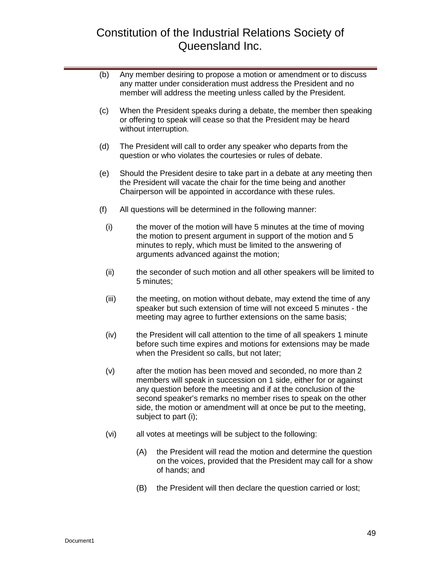- (b) Any member desiring to propose a motion or amendment or to discuss any matter under consideration must address the President and no member will address the meeting unless called by the President.
- (c) When the President speaks during a debate, the member then speaking or offering to speak will cease so that the President may be heard without interruption.
- (d) The President will call to order any speaker who departs from the question or who violates the courtesies or rules of debate.
- (e) Should the President desire to take part in a debate at any meeting then the President will vacate the chair for the time being and another Chairperson will be appointed in accordance with these rules.
- (f) All questions will be determined in the following manner:
	- (i) the mover of the motion will have 5 minutes at the time of moving the motion to present argument in support of the motion and 5 minutes to reply, which must be limited to the answering of arguments advanced against the motion;
	- (ii) the seconder of such motion and all other speakers will be limited to 5 minutes;
	- (iii) the meeting, on motion without debate, may extend the time of any speaker but such extension of time will not exceed 5 minutes - the meeting may agree to further extensions on the same basis;
	- (iv) the President will call attention to the time of all speakers 1 minute before such time expires and motions for extensions may be made when the President so calls, but not later;
	- (v) after the motion has been moved and seconded, no more than 2 members will speak in succession on 1 side, either for or against any question before the meeting and if at the conclusion of the second speaker's remarks no member rises to speak on the other side, the motion or amendment will at once be put to the meeting, subject to part (i);
	- (vi) all votes at meetings will be subject to the following:
		- (A) the President will read the motion and determine the question on the voices, provided that the President may call for a show of hands; and
		- (B) the President will then declare the question carried or lost;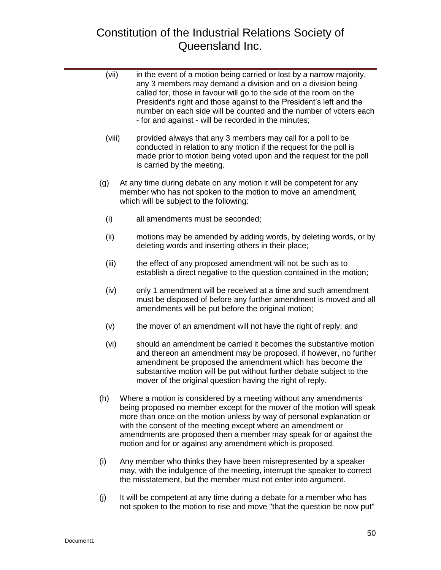| (vii)  | in the event of a motion being carried or lost by a narrow majority,<br>any 3 members may demand a division and on a division being<br>called for, those in favour will go to the side of the room on the<br>President's right and those against to the President's left and the<br>number on each side will be counted and the number of voters each<br>- for and against - will be recorded in the minutes;           |
|--------|-------------------------------------------------------------------------------------------------------------------------------------------------------------------------------------------------------------------------------------------------------------------------------------------------------------------------------------------------------------------------------------------------------------------------|
| (viii) | provided always that any 3 members may call for a poll to be<br>conducted in relation to any motion if the request for the poll is<br>made prior to motion being voted upon and the request for the poll<br>is carried by the meeting.                                                                                                                                                                                  |
| (g)    | At any time during debate on any motion it will be competent for any<br>member who has not spoken to the motion to move an amendment,<br>which will be subject to the following:                                                                                                                                                                                                                                        |
| (i)    | all amendments must be seconded;                                                                                                                                                                                                                                                                                                                                                                                        |
| (ii)   | motions may be amended by adding words, by deleting words, or by<br>deleting words and inserting others in their place;                                                                                                                                                                                                                                                                                                 |
| (iii)  | the effect of any proposed amendment will not be such as to<br>establish a direct negative to the question contained in the motion;                                                                                                                                                                                                                                                                                     |
| (iv)   | only 1 amendment will be received at a time and such amendment<br>must be disposed of before any further amendment is moved and all<br>amendments will be put before the original motion;                                                                                                                                                                                                                               |
| (v)    | the mover of an amendment will not have the right of reply; and                                                                                                                                                                                                                                                                                                                                                         |
| (vi)   | should an amendment be carried it becomes the substantive motion<br>and thereon an amendment may be proposed, if however, no further<br>amendment be proposed the amendment which has become the<br>substantive motion will be put without further debate subject to the<br>mover of the original question having the right of reply.                                                                                   |
| (h)    | Where a motion is considered by a meeting without any amendments<br>being proposed no member except for the mover of the motion will speak<br>more than once on the motion unless by way of personal explanation or<br>with the consent of the meeting except where an amendment or<br>amendments are proposed then a member may speak for or against the<br>motion and for or against any amendment which is proposed. |
| (i)    | Any member who thinks they have been misrepresented by a speaker<br>may, with the indulgence of the meeting, interrupt the speaker to correct<br>the misstatement, but the member must not enter into argument.                                                                                                                                                                                                         |

(j) It will be competent at any time during a debate for a member who has not spoken to the motion to rise and move "that the question be now put"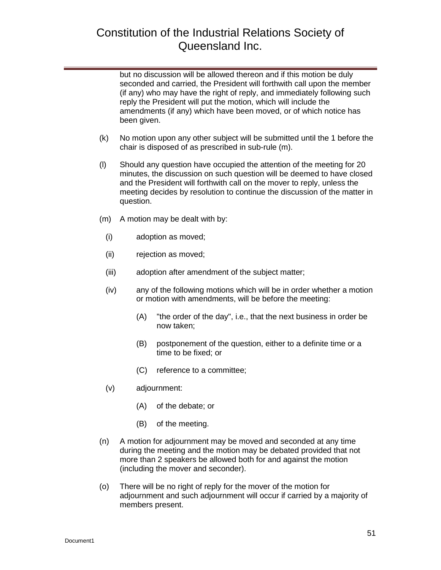but no discussion will be allowed thereon and if this motion be duly seconded and carried, the President will forthwith call upon the member (if any) who may have the right of reply, and immediately following such reply the President will put the motion, which will include the amendments (if any) which have been moved, or of which notice has been given.

- (k) No motion upon any other subject will be submitted until the 1 before the chair is disposed of as prescribed in sub-rule (m).
- (l) Should any question have occupied the attention of the meeting for 20 minutes, the discussion on such question will be deemed to have closed and the President will forthwith call on the mover to reply, unless the meeting decides by resolution to continue the discussion of the matter in question.
- (m) A motion may be dealt with by:
	- (i) adoption as moved;
	- (ii) rejection as moved;
	- (iii) adoption after amendment of the subject matter;
	- (iv) any of the following motions which will be in order whether a motion or motion with amendments, will be before the meeting:
		- (A) "the order of the day", i.e., that the next business in order be now taken;
		- (B) postponement of the question, either to a definite time or a time to be fixed; or
		- (C) reference to a committee;
	- (v) adjournment:
		- (A) of the debate; or
		- (B) of the meeting.
- (n) A motion for adjournment may be moved and seconded at any time during the meeting and the motion may be debated provided that not more than 2 speakers be allowed both for and against the motion (including the mover and seconder).
- (o) There will be no right of reply for the mover of the motion for adjournment and such adjournment will occur if carried by a majority of members present.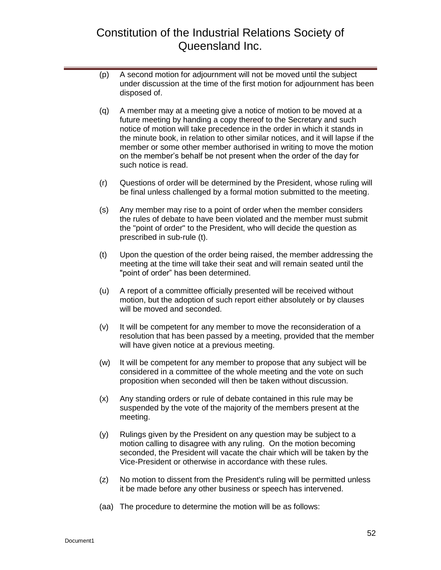- (p) A second motion for adjournment will not be moved until the subject under discussion at the time of the first motion for adjournment has been disposed of.
- (q) A member may at a meeting give a notice of motion to be moved at a future meeting by handing a copy thereof to the Secretary and such notice of motion will take precedence in the order in which it stands in the minute book, in relation to other similar notices, and it will lapse if the member or some other member authorised in writing to move the motion on the member's behalf be not present when the order of the day for such notice is read.
- (r) Questions of order will be determined by the President, whose ruling will be final unless challenged by a formal motion submitted to the meeting.
- (s) Any member may rise to a point of order when the member considers the rules of debate to have been violated and the member must submit the "point of order" to the President, who will decide the question as prescribed in sub-rule (t).
- (t) Upon the question of the order being raised, the member addressing the meeting at the time will take their seat and will remain seated until the "point of order" has been determined.
- (u) A report of a committee officially presented will be received without motion, but the adoption of such report either absolutely or by clauses will be moved and seconded.
- (v) It will be competent for any member to move the reconsideration of a resolution that has been passed by a meeting, provided that the member will have given notice at a previous meeting.
- (w) It will be competent for any member to propose that any subject will be considered in a committee of the whole meeting and the vote on such proposition when seconded will then be taken without discussion.
- (x) Any standing orders or rule of debate contained in this rule may be suspended by the vote of the majority of the members present at the meeting.
- (y) Rulings given by the President on any question may be subject to a motion calling to disagree with any ruling. On the motion becoming seconded, the President will vacate the chair which will be taken by the Vice-President or otherwise in accordance with these rules.
- (z) No motion to dissent from the President's ruling will be permitted unless it be made before any other business or speech has intervened.
- (aa) The procedure to determine the motion will be as follows: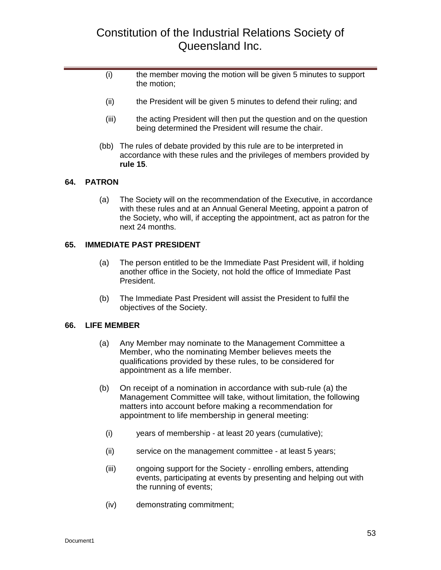- (i) the member moving the motion will be given 5 minutes to support the motion;
- (ii) the President will be given 5 minutes to defend their ruling; and
- (iii) the acting President will then put the question and on the question being determined the President will resume the chair.
- (bb) The rules of debate provided by this rule are to be interpreted in accordance with these rules and the privileges of members provided by **rule 15**.

### <span id="page-52-0"></span>**64. PATRON**

(a) The Society will on the recommendation of the Executive, in accordance with these rules and at an Annual General Meeting, appoint a patron of the Society, who will, if accepting the appointment, act as patron for the next 24 months.

#### <span id="page-52-1"></span>**65. IMMEDIATE PAST PRESIDENT**

- (a) The person entitled to be the Immediate Past President will, if holding another office in the Society, not hold the office of Immediate Past President.
- (b) The Immediate Past President will assist the President to fulfil the objectives of the Society.

#### <span id="page-52-2"></span>**66. LIFE MEMBER**

- (a) Any Member may nominate to the Management Committee a Member, who the nominating Member believes meets the qualifications provided by these rules, to be considered for appointment as a life member.
- (b) On receipt of a nomination in accordance with sub-rule (a) the Management Committee will take, without limitation, the following matters into account before making a recommendation for appointment to life membership in general meeting:
	- (i) years of membership at least 20 years (cumulative);
	- (ii) service on the management committee at least 5 years;
	- (iii) ongoing support for the Society enrolling embers, attending events, participating at events by presenting and helping out with the running of events;
	- (iv) demonstrating commitment;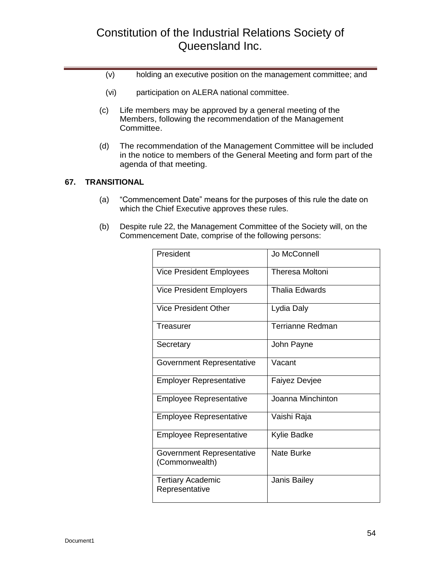- (v) holding an executive position on the management committee; and
- (vi) participation on ALERA national committee.
- (c) Life members may be approved by a general meeting of the Members, following the recommendation of the Management Committee.
- (d) The recommendation of the Management Committee will be included in the notice to members of the General Meeting and form part of the agenda of that meeting.

### <span id="page-53-0"></span>**67. TRANSITIONAL**

- (a) "Commencement Date" means for the purposes of this rule the date on which the Chief Executive approves these rules.
- (b) Despite rule 22, the Management Committee of the Society will, on the Commencement Date, comprise of the following persons:

| President                                   | Jo McConnell            |
|---------------------------------------------|-------------------------|
| <b>Vice President Employees</b>             | <b>Theresa Moltoni</b>  |
| Vice President Employers                    | <b>Thalia Edwards</b>   |
| Vice President Other                        | Lydia Daly              |
| Treasurer                                   | <b>Terrianne Redman</b> |
| Secretary                                   | John Payne              |
| <b>Government Representative</b>            | Vacant                  |
| <b>Employer Representative</b>              | <b>Faiyez Devjee</b>    |
| <b>Employee Representative</b>              | Joanna Minchinton       |
| <b>Employee Representative</b>              | Vaishi Raja             |
| <b>Employee Representative</b>              | Kylie Badke             |
| Government Representative<br>(Commonwealth) | Nate Burke              |
| <b>Tertiary Academic</b><br>Representative  | Janis Bailey            |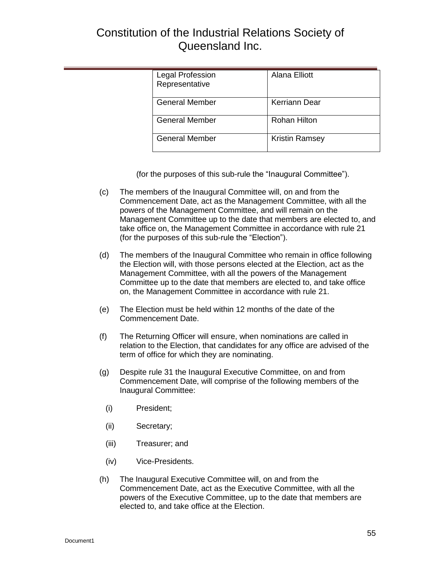| Legal Profession<br>Representative | Alana Elliott         |
|------------------------------------|-----------------------|
| <b>General Member</b>              | Kerriann Dear         |
| <b>General Member</b>              | <b>Rohan Hilton</b>   |
| <b>General Member</b>              | <b>Kristin Ramsey</b> |

(for the purposes of this sub-rule the "Inaugural Committee").

- (c) The members of the Inaugural Committee will, on and from the Commencement Date, act as the Management Committee, with all the powers of the Management Committee, and will remain on the Management Committee up to the date that members are elected to, and take office on, the Management Committee in accordance with rule 21 (for the purposes of this sub-rule the "Election").
- (d) The members of the Inaugural Committee who remain in office following the Election will, with those persons elected at the Election, act as the Management Committee, with all the powers of the Management Committee up to the date that members are elected to, and take office on, the Management Committee in accordance with rule 21.
- (e) The Election must be held within 12 months of the date of the Commencement Date.
- (f) The Returning Officer will ensure, when nominations are called in relation to the Election, that candidates for any office are advised of the term of office for which they are nominating.
- (g) Despite rule 31 the Inaugural Executive Committee, on and from Commencement Date, will comprise of the following members of the Inaugural Committee:
	- (i) President;
	- (ii) Secretary;
	- (iii) Treasurer; and
	- (iv) Vice-Presidents.
- (h) The Inaugural Executive Committee will, on and from the Commencement Date, act as the Executive Committee, with all the powers of the Executive Committee, up to the date that members are elected to, and take office at the Election.